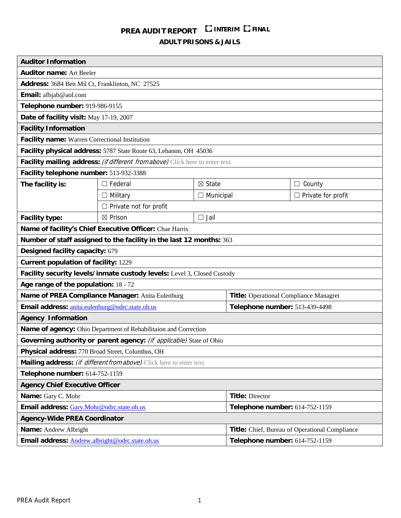# **PREA AUDIT REPORT INTERIM FINAL**

**ADULT PRISONS & JAILS**

| <b>Auditor Information</b>                                                    |                                                                     |                                |                                                |                           |  |
|-------------------------------------------------------------------------------|---------------------------------------------------------------------|--------------------------------|------------------------------------------------|---------------------------|--|
| <b>Auditor name: Art Beeler</b>                                               |                                                                     |                                |                                                |                           |  |
| Address: 3684 Ben Mil Ct, Franklinton, NC 27525                               |                                                                     |                                |                                                |                           |  |
| Email: afbjab@aol.com                                                         |                                                                     |                                |                                                |                           |  |
| Telephone number: 919-986-9155                                                |                                                                     |                                |                                                |                           |  |
| Date of facility visit: May 17-19, 2007                                       |                                                                     |                                |                                                |                           |  |
| <b>Facility Information</b>                                                   |                                                                     |                                |                                                |                           |  |
| Facility name: Warren Correctional Institution                                |                                                                     |                                |                                                |                           |  |
| Facility physical address: 5787 State Route 63, Lebanon, OH 45036             |                                                                     |                                |                                                |                           |  |
| Facility mailing address: (if different from above) Click here to enter text. |                                                                     |                                |                                                |                           |  |
| Facility telephone number: 513-932-3388                                       |                                                                     |                                |                                                |                           |  |
| The facility is:                                                              | $\Box$ Federal                                                      | $\boxtimes$ State              |                                                | County<br>$\Box$          |  |
|                                                                               | $\Box$ Military                                                     | $\Box$ Municipal               |                                                | $\Box$ Private for profit |  |
|                                                                               | $\Box$ Private not for profit                                       |                                |                                                |                           |  |
| <b>Facility type:</b>                                                         | $\boxtimes$ Prison                                                  | $\Box$ Jail                    |                                                |                           |  |
|                                                                               | Name of facility's Chief Executive Officer: Chae Harris             |                                |                                                |                           |  |
|                                                                               | Number of staff assigned to the facility in the last 12 months: 363 |                                |                                                |                           |  |
| Designed facility capacity: 679                                               |                                                                     |                                |                                                |                           |  |
| <b>Current population of facility: 1229</b>                                   |                                                                     |                                |                                                |                           |  |
| Facility security levels/inmate custody levels: Level 3, Closed Custody       |                                                                     |                                |                                                |                           |  |
| Age range of the population: 18 - 72                                          |                                                                     |                                |                                                |                           |  |
| Name of PREA Compliance Manager: Anita Eulenburg                              |                                                                     |                                | <b>Title:</b> Operational Compliance Managret  |                           |  |
| Email address: anita.eulenburg@odrc.state.oh.us                               |                                                                     |                                | Telephone number: 513-439-4498                 |                           |  |
| <b>Agency Information</b>                                                     |                                                                     |                                |                                                |                           |  |
| Name of agency: Ohio Department of Rehabilitaion and Correction               |                                                                     |                                |                                                |                           |  |
| Governing authority or parent agency: (if applicable) State of Ohio           |                                                                     |                                |                                                |                           |  |
| Physical address: 770 Broad Street, Columbus, OH                              |                                                                     |                                |                                                |                           |  |
| Mailing address: (if different from above) Click here to enter text.          |                                                                     |                                |                                                |                           |  |
| Telephone number: 614-752-1159                                                |                                                                     |                                |                                                |                           |  |
| <b>Agency Chief Executive Officer</b>                                         |                                                                     |                                |                                                |                           |  |
| Name: Gary C. Mohr                                                            |                                                                     |                                | <b>Title: Director</b>                         |                           |  |
| Email address: Gary.Mohr@odrc.state.oh.us                                     |                                                                     |                                | Telephone number: 614-752-1159                 |                           |  |
| <b>Agency-Wide PREA Coordinator</b>                                           |                                                                     |                                |                                                |                           |  |
| <b>Name:</b> Andrew Albright                                                  |                                                                     |                                | Title: Chief, Bureau of Operational Compliance |                           |  |
| Email address: Andrew.albright@odrc.state.oh.us                               |                                                                     | Telephone number: 614-752-1159 |                                                |                           |  |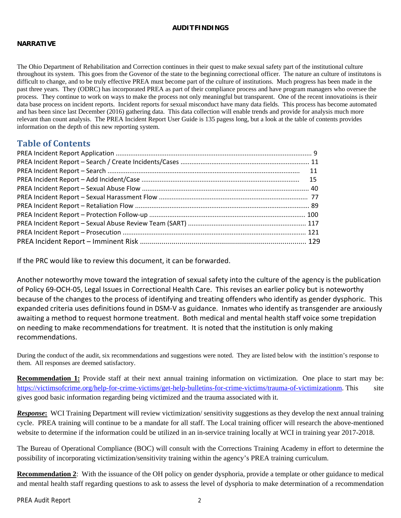## **AUDIT FINDINGS**

## **NARRATIVE**

The Ohio Department of Rehabilitation and Correction continues in their quest to make sexual safety part of the institutional culture throughout its system. This goes from the Govenor of the state to the beginning correctional officer. The nature an culture of institutons is difficult to change, and to be truly effective PREA must become part of the culture of institutions. Much progress has been made in the past three years. They (ODRC) has incorporated PREA as part of their compliance process and have program managers who oversee the process. They continue to work on ways to make the process not only meaningful but transparent. One of the recent innovatioins is their data base process on incident reports. Incident reports for sexual misconduct have many data fields. This process has become automated and has been since last December (2016) gathering data. This data collection will enable trends and provide for analysis much more relevant than count analysis. The PREA Incident Report User Guide is 135 pagess long, but a look at the table of contents provides information on the depth of this new reporting system.

## **Table of Contents**

If the PRC would like to review this document, it can be forwarded.

Another noteworthy move toward the integration of sexual safety into the culture of the agency is the publication of Policy 69‐OCH‐05, Legal Issues in Correctional Health Care. This revises an earlier policy but is noteworthy because of the changes to the process of identifying and treating offenders who identify as gender dysphoric. This expanded criteria uses definitions found in DSM‐V as guidance. Inmates who identify as transgender are anxiously awaiting a method to request hormone treatment. Both medical and mental health staff voice some trepidation on needing to make recommendations for treatment. It is noted that the institution is only making recommendations.

During the conduct of the audit, six recommendations and suggestions were noted. They are listed below with the instittion's response to them. All responses are deemed satisfactory.

**Recommendation 1:** Provide staff at their next annual training information on victimization. One place to start may be: https://victimsofcrime.org/help-for-crime-victims/get-help-bulletins-for-crime-victims/trauma-of-victimizationm. This site gives good basic information regarding being victimized and the trauma associated with it.

**Response:** WCI Training Department will review victimization/ sensitivity suggestions as they develop the next annual training cycle. PREA training will continue to be a mandate for all staff. The Local training officer will research the above-mentioned website to determine if the information could be utilized in an in-service training locally at WCI in training year 2017-2018.

The Bureau of Operational Compliance (BOC) will consult with the Corrections Training Academy in effort to determine the possibility of incorporating victimization/sensitivity training within the agency's PREA training curriculum.

**Recommendation 2**: With the issuance of the OH policy on gender dysphoria, provide a template or other guidance to medical and mental health staff regarding questions to ask to assess the level of dysphoria to make determination of a recommendation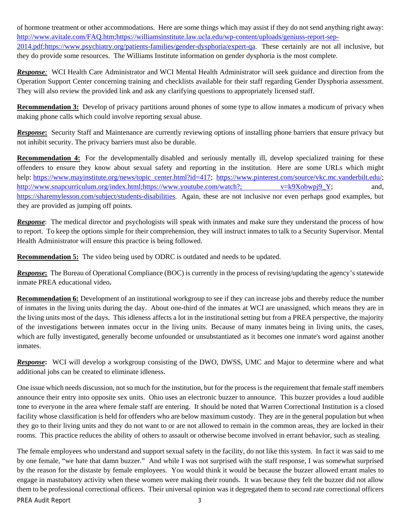of hormone treatment or other accommodations. Here are some things which may assist if they do not send anything right away: http://www.avitale.com/FAQ.htm;https://williamsinstitute.law.ucla.edu/wp-content/uploads/geniuss-report-sep-2014.pdf;https://www.psychiatry.org/patients-families/gender-dysphoria/expert-qa. These certainly are not all inclusive, but they do provide some resources. The Williams Institute information on gender dysphoria is the most complete.

*Response:* WCI Health Care Administrator and WCI Mental Health Administrator will seek guidance and direction from the Operation Support Center concerning training and checklists available for their staff regarding Gender Dysphoria assessment. They will also review the provided link and ask any clarifying questions to appropriately licensed staff.

**Recommendation 3:** Develop of privacy partitions around phones of some type to allow inmates a modicum of privacy when making phone calls which could involve reporting sexual abuse.

*Response*: Security Staff and Maintenance are currently reviewing options of installing phone barriers that ensure privacy but not inhibit security. The privacy barriers must also be durable.

**Recommendation 4:** For the developmentally disabled and seriously mentally ill, develop specialized training for these offenders to ensure they know about sexual safety and reporting in the institution. Here are some URLs which might help: https://www.mayinstitute.org/news/topic\_center.html?id=417; https://www.pinterest.com/source/vkc.mc.vanderbilt.edu/; http://www.snapcurriculum.org/index.html;https://www.youtube.com/watch?; v=k9Xobwpj9\_Y; and, https://sharemylesson.com/subject/students-disabilities. Again, these are not inclusive nor even perhaps good examples, but they are provided as jumping off points.

*Response*: The medical director and psychologists will speak with inmates and make sure they understand the process of how to report. To keep the options simple for their comprehension, they will instruct inmates to talk to a Security Supervisor. Mental Health Administrator will ensure this practice is being followed.

**Recommendation 5:** The video being used by ODRC is outdated and needs to be updated.

*Response*: The Bureau of Operational Compliance (BOC) is currently in the process of revising/updating the agency's statewide inmate PREA educational video**.** 

**Recommendation 6:** Development of an institutional workgroup to see if they can increase jobs and thereby reduce the number of inmates in the living units during the day. About one-third of the inmates at WCI are unassigned, which means they are in the living units most of the days. This idleness affects a lot in the institutional setting but from a PREA perspective, the majority of the investigations between inmates occur in the living units. Because of many inmates being in living units, the cases, which are fully investigated, generally become unfounded or unsubstantiated as it becomes one inmate's word against another inmates.

*Response***:** WCI will develop a workgroup consisting of the DWO, DWSS, UMC and Major to determine where and what additional jobs can be created to eliminate idleness.

One issue which needs discussion, not so much for the institution, but for the process is the requirement that female staff members announce their entry into opposite sex units. Ohio uses an electronic buzzer to announce. This buzzer provides a loud audible tone to everyone in the area where female staff are entering. It should be noted that Warren Correctional Institution is a closed facility whose classification is held for offenders who are below maximum custody. They are in the general population but when they go to their living units and they do not want to or are not allowed to remain in the common areas, they are locked in their rooms. This practice reduces the ability of others to assault or otherwise become involved in errant behavior, such as stealing.

PREA Audit Report 3 The female employees who understand and support sexual safety in the facility, do not like this system. In fact it was said to me by one female, "we hate that damn buzzer." And while I was not surprised with the staff response, I was somewhat surprised by the reason for the distaste by female employees. You would think it would be because the buzzer allowed errant males to engage in mastubatory activity when these women were making their rounds. It was because they felt the buzzer did not allow them to be professional correctional officers. Their universal opinion was it degregated them to second rate correctional officers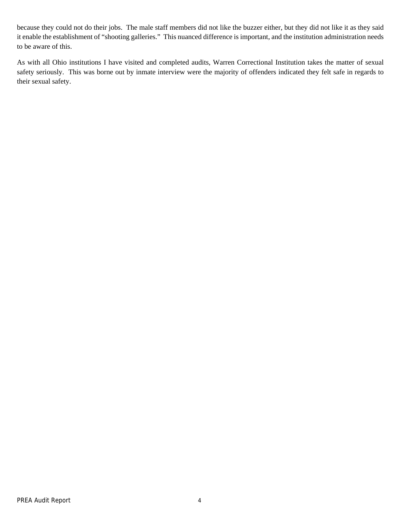because they could not do their jobs. The male staff members did not like the buzzer either, but they did not like it as they said it enable the establishment of "shooting galleries." This nuanced difference is important, and the institution administration needs to be aware of this.

As with all Ohio institutions I have visited and completed audits, Warren Correctional Institution takes the matter of sexual safety seriously. This was borne out by inmate interview were the majority of offenders indicated they felt safe in regards to their sexual safety.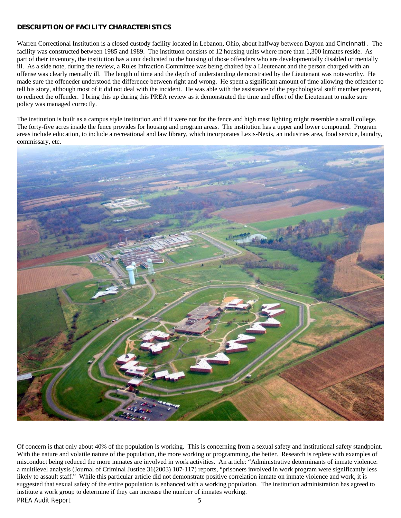## **DESCRIPTION OF FACILITY CHARACTERISTICS**

Warren Correctional Institution is a closed custody facility located in Lebanon, Ohio, about halfway between Dayton and Cincinnati . The facility was constructed between 1985 and 1989. The instittuon consists of 12 housing units where more than 1,300 inmates reside. As part of their inventory, the institution has a unit dedicated to the housing of those offenders who are developmentally disabled or mentally ill. As a side note, during the review, a Rules Infraction Committee was being chaired by a Lieutenant and the person charged with an offense was clearly mentally ill. The length of time and the depth of understanding demonstrated by the Lieutenant was noteworthy. He made sure the offeneder understood the difference between right and wrong. He spent a significant amount of time allowing the offender to tell his story, although most of it did not deal with the incident. He was able with the assistance of the psychological staff member present, to redirect the offender. I bring this up during this PREA review as it demonstrated the time and effort of the Lieutenant to make sure policy was managed correctly.

The institution is built as a campus style institution and if it were not for the fence and high mast lighting might resemble a small college. The forty-five acres inside the fence provides for housing and program areas. The institution has a upper and lower compound. Program areas include education, to include a recreational and law library, which incorporates Lexis-Nexis, an industries area, food service, laundry, commissary, etc.



PREA Audit Report 5 Of concern is that only about 40% of the population is working. This is concerning from a sexual safety and institutional safety standpoint. With the nature and volatile nature of the population, the more working or programming, the better. Research is replete with examples of misconduct being reduced the more inmates are involved in work activities. An article: "Administrative determinants of inmate violence: a multilevel analysis (Journal of Criminal Justice 31(2003) 107-117) reports, "prisoners involved in work program were significantly less likely to assault staff." While this particular article did not demonstrate positive correlation inmate on inmate violence and work, it is suggested that sexual safety of the entire population is enhanced with a working population. The institution administration has agreed to institute a work group to determine if they can increase the number of inmates working.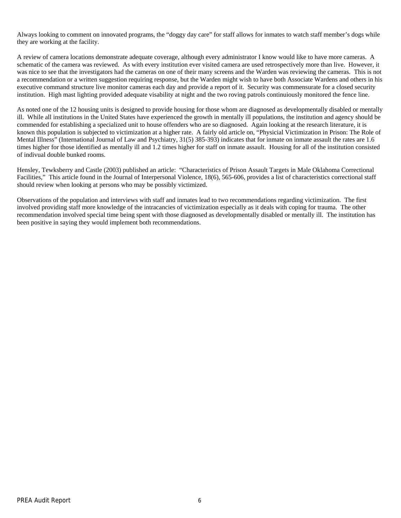Always looking to comment on innovated programs, the "doggy day care" for staff allows for inmates to watch staff member's dogs while they are working at the facility.

A review of camera locations demonstrate adequate coverage, although every administrator I know would like to have more cameras. A schematic of the camera was reviewed. As with every institution ever visited camera are used retrospectively more than live. However, it was nice to see that the investigators had the cameras on one of their many screens and the Warden was reviewing the cameras. This is not a recommendation or a written suggestion requiring response, but the Warden might wish to have both Associate Wardens and others in his executive command structure live monitor cameras each day and provide a report of it. Security was commensurate for a closed security institution. High mast lighting provided adequate visability at night and the two roving patrols continuiously monitored the fence line.

As noted one of the 12 housing units is designed to provide housing for those whom are diagnosed as developmentally disabled or mentally ill. While all institutions in the United States have experienced the growth in mentally ill populations, the institution and agency should be commended for establishing a specialized unit to house offenders who are so diagnosed. Again looking at the research literature, it is known this population is subjected to victimization at a higher rate. A fairly old article on, "Physicial Victimization in Prison: The Role of Mental Illness" (International Journal of Law and Psychiatry, 31(5) 385-393) indicates that for inmate on inmate assault the rates are 1.6 times higher for those identified as mentally ill and 1.2 times higher for staff on inmate assault. Housing for all of the institution consisted of indivual double bunked rooms.

Hensley, Tewksberry and Castle (2003) published an article: "Characteristics of Prison Assault Targets in Male Oklahoma Correctional Facilities," This article found in the Journal of Interpersonal Violence, 18(6), 565-606, provides a list of characteristics correctional staff should review when looking at persons who may be possibly victimized.

Observations of the population and interviews with staff and inmates lead to two recommendations regarding victimization. The first involved providing staff more knowledge of the intracancies of victimization especially as it deals with coping for trauma. The other recommendation involved special time being spent with those diagnosed as developmentally disabled or mentally ill. The institution has been positive in saying they would implement both recommendations.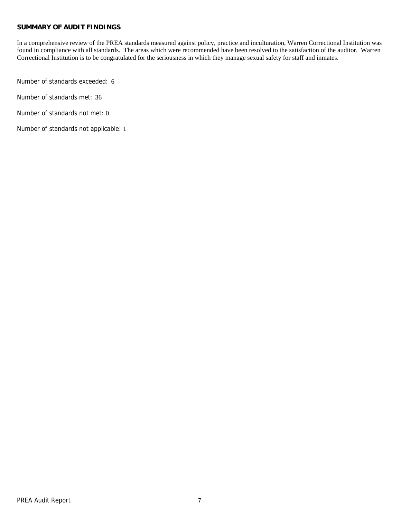## **SUMMARY OF AUDIT FINDINGS**

In a comprehensive review of the PREA standards measured against policy, practice and inculturation, Warren Correctional Institution was found in compliance with all standards. The areas which were recommended have been resolved to the satisfaction of the auditor. Warren Correctional Institution is to be congratulated for the seriousness in which they manage sexual safety for staff and inmates.

Number of standards exceeded: 6

Number of standards met: 36

Number of standards not met: 0

Number of standards not applicable: 1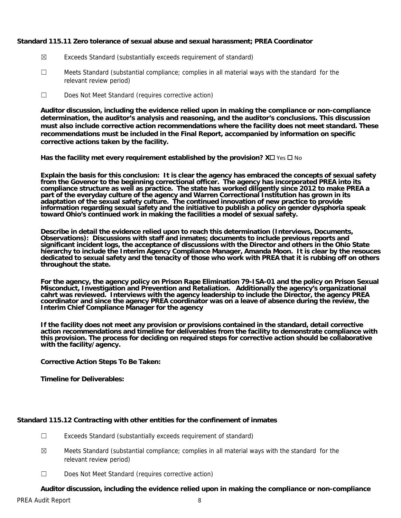## **Standard 115.11 Zero tolerance of sexual abuse and sexual harassment; PREA Coordinator**

- ☒ Exceeds Standard (substantially exceeds requirement of standard)
- ☐ Meets Standard (substantial compliance; complies in all material ways with the standard for the relevant review period)
- ☐ Does Not Meet Standard (requires corrective action)

**Auditor discussion, including the evidence relied upon in making the compliance or non-compliance determination, the auditor's analysis and reasoning, and the auditor's conclusions. This discussion must also include corrective action recommendations where the facility does not meet standard. These recommendations must be included in the Final Report, accompanied by information on specific corrective actions taken by the facility.**

**Has the facility met every requirement established by the provision?**  $X \square \text{ Yes } \square$  **No** 

**Explain the basis for this conclusion: It is clear the agency has embraced the concepts of sexual safety from the Govenor to the beginning correctional officer. The agency has incorporated PREA into its compliance structure as well as practice. The state has worked diligently since 2012 to make PREA a part of the everyday culture of the agency and Warren Correctional Institution has grown in its adaptation of the sexual safety culture. The continued innovation of new practice to provide information regarding sexual safety and the initiative to publish a policy on gender dysphoria speak toward Ohio's continued work in making the facilities a model of sexual safety.** 

**Describe in detail the evidence relied upon to reach this determination (Interviews, Documents, Observations): Discussions with staff and inmates; documents to include previous reports and significant incident logs, the acceptance of discussions with the Director and others in the Ohio State hierarchy to include the Interim Agency Compliance Manager, Amanda Moon. It is clear by the resouces dedicated to sexual safety and the tenacity of those who work with PREA that it is rubbing off on others throughout the state.** 

**For the agency, the agency policy on Prison Rape Elimination 79-ISA-01 and the policy on Prison Sexual Misconduct, Investigation and Prevention and Retaliation. Additionally the agency's organizational cahrt was reviewed. Interviews with the agency leadership to include the Director, the agency PREA coordinator and since the agency PREA coordinator was on a leave of absence during the review, the Interim Chief Compliance Manager for the agency** 

**If the facility does not meet any provision or provisions contained in the standard, detail corrective action recommendations and timeline for deliverables from the facility to demonstrate compliance with this provision. The process for deciding on required steps for corrective action should be collaborative with the facility/agency.** 

**Corrective Action Steps To Be Taken:** 

**Timeline for Deliverables:** 

## **Standard 115.12 Contracting with other entities for the confinement of inmates**

- ☐ Exceeds Standard (substantially exceeds requirement of standard)
- $\boxtimes$  Meets Standard (substantial compliance; complies in all material ways with the standard for the relevant review period)
- ☐ Does Not Meet Standard (requires corrective action)

## **Auditor discussion, including the evidence relied upon in making the compliance or non-compliance**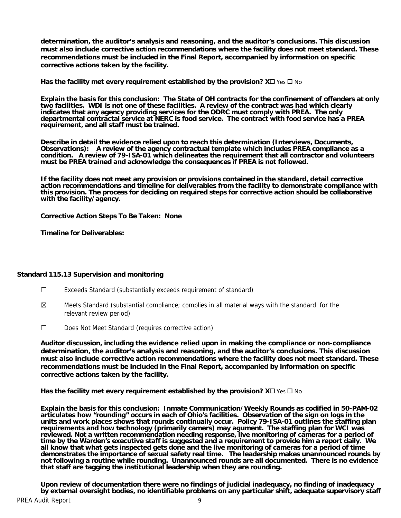**determination, the auditor's analysis and reasoning, and the auditor's conclusions. This discussion must also include corrective action recommendations where the facility does not meet standard. These recommendations must be included in the Final Report, accompanied by information on specific corrective actions taken by the facility.**

**Has the facility met every requirement established by the provision?**  $X \Box Y$  **es**  $\Box$  **No** 

**Explain the basis for this conclusion: The State of OH contracts for the confinement of offenders at only two facilities. WDI is not one of these facilities. A review of the contract was had which clearly indicates that any agency providing services for the ODRC must comply with PREA. The only departmental contractal service at NERC is food service. The contract with food service has a PREA requirement, and all staff must be trained.** 

**Describe in detail the evidence relied upon to reach this determination (Interviews, Documents, Observations): A review of the agency contractual template which includes PREA compliance as a condition. A review of 79-ISA-01 which delineates the requirement that all contractor and volunteers must be PREA trained and acknowledge the consequences if PREA is not followed.** 

**If the facility does not meet any provision or provisions contained in the standard, detail corrective action recommendations and timeline for deliverables from the facility to demonstrate compliance with this provision. The process for deciding on required steps for corrective action should be collaborative with the facility/agency.** 

**Corrective Action Steps To Be Taken: None** 

**Timeline for Deliverables:** 

## **Standard 115.13 Supervision and monitoring**

- ☐ Exceeds Standard (substantially exceeds requirement of standard)
- $\boxtimes$  Meets Standard (substantial compliance; complies in all material ways with the standard for the relevant review period)
- ☐ Does Not Meet Standard (requires corrective action)

**Auditor discussion, including the evidence relied upon in making the compliance or non-compliance determination, the auditor's analysis and reasoning, and the auditor's conclusions. This discussion must also include corrective action recommendations where the facility does not meet standard. These recommendations must be included in the Final Report, accompanied by information on specific corrective actions taken by the facility.**

**Has the facility met every requirement established by the provision?**  $X \square$  **Yes**  $\square$  **No** 

**Explain the basis for this conclusion: Inmate Communication/Weekly Rounds as codified in 50-PAM-02 articulates how "rounding" occurs in each of Ohio's facilities. Observation of the sign on logs in the**  units and work places shows that rounds continually occur. Policy 79-ISA-01 outlines the staffing plan<br>requirements and how technology (primarily camers) may agument. The staffing plan for WCI was **reviewed. Not a written recommendation needing response, live monitoring of cameras for a period of time by the Warden's executive staff is suggested and a requirement to provide him a report daily. We all know that what gets inspected gets done and the live monitoring of cameras for a period of time demonstrates the importance of sexual safety real time. The leadership makes unannounced rounds by not following a routine while rounding. Unannounced rounds are all documented. There is no evidence that staff are tagging the institutional leadership when they are rounding.** 

**Upon review of documentation there were no findings of judicial inadequacy, no finding of inadequacy by external oversight bodies, no identifiable problems on any particular shift, adequate supervisory staff**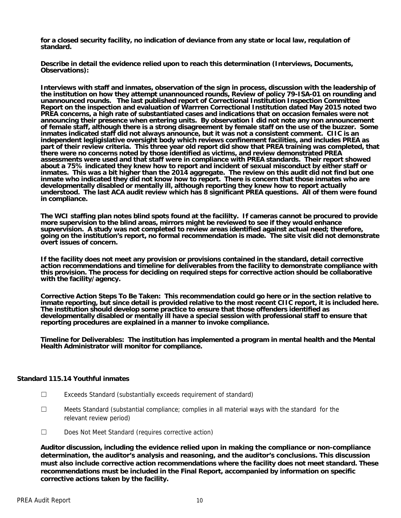**for a closed security facility, no indication of deviance from any state or local law, requlation of standard.** 

**Describe in detail the evidence relied upon to reach this determination (Interviews, Documents, Observations):** 

**Interviews with staff and inmates, observation of the sign in process, discussion with the leadership of the institution on how they attempt unannounced rounds, Review of policy 79-ISA-01 on rounding and unannounced rounds. The last published report of Correctional Institution Inspection Committee Report on the inspection and evaluation of Warrren Correctional Institution dated May 2015 noted two PREA concerns, a high rate of substantiated cases and indications that on occasion females were not announcing their presence when entering units. By observation I did not note any non announcement of female staff, although there is a strong disagreement by female staff on the use of the buzzer. Some inmates indicated staff did not always announce, but it was not a consistent comment. CIIC is an independent legligislative oversight body which reviews confinement facilities, and includes PREA as part of their review criteria. This three year old report did show that PREA training was completed, that there were no concerns noted by those identified as victims, and review demonstrated PREA assessments were used and that staff were in compliance with PREA standards. Their report showed about a 75% indicated they knew how to report and incident of sexual misconduct by either staff or inmates. This was a bit higher than the 2014 aggregate. The review on this audit did not find but one inmate who indicated they did not know how to report. There is concern that those inmates who are developmentally disabled or mentally ill, although reporting they knew how to report actually understood. The last ACA audit review which has 8 significant PREA questions. All of them were found in compliance.** 

**The WCI staffing plan notes blind spots found at the facililty. If cameras cannot be procured to provide more supervision to the blind areas, mirrors might be reviewed to see if they would enhance supvervision. A study was not completed to review areas identified against actual need; therefore, going on the institution's report, no formal recommendation is made. The site visit did not demonstrate overt issues of concern.** 

**If the facility does not meet any provision or provisions contained in the standard, detail corrective action recommendations and timeline for deliverables from the facility to demonstrate compliance with this provision. The process for deciding on required steps for corrective action should be collaborative with the facility/agency.** 

**Corrective Action Steps To Be Taken: This recommendation could go here or in the section relative to inmate reporting, but since detail is provided relative to the most recent CIIC report, it is included here. The institution should develop some practice to ensure that those offenders identified as developmentally disabled or mentally ill have a special session with professional staff to ensure that reporting procedures are explained in a manner to invoke compliance.** 

**Timeline for Deliverables: The institution has implemented a program in mental health and the Mental Health Administrator will monitor for compliance.** 

## **Standard 115.14 Youthful inmates**

- ☐ Exceeds Standard (substantially exceeds requirement of standard)
- ☐ Meets Standard (substantial compliance; complies in all material ways with the standard for the relevant review period)
- ☐ Does Not Meet Standard (requires corrective action)

**Auditor discussion, including the evidence relied upon in making the compliance or non-compliance determination, the auditor's analysis and reasoning, and the auditor's conclusions. This discussion must also include corrective action recommendations where the facility does not meet standard. These recommendations must be included in the Final Report, accompanied by information on specific corrective actions taken by the facility.**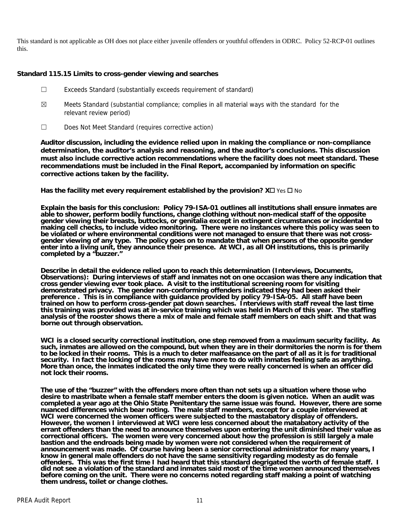This standard is not applicable as OH does not place either juvenile offenders or youthful offenders in ODRC. Policy 52-RCP-01 outlines this.

## **Standard 115.15 Limits to cross-gender viewing and searches**

- ☐ Exceeds Standard (substantially exceeds requirement of standard)
- $\boxtimes$  Meets Standard (substantial compliance; complies in all material ways with the standard for the relevant review period)
- ☐ Does Not Meet Standard (requires corrective action)

**Auditor discussion, including the evidence relied upon in making the compliance or non-compliance determination, the auditor's analysis and reasoning, and the auditor's conclusions. This discussion must also include corrective action recommendations where the facility does not meet standard. These recommendations must be included in the Final Report, accompanied by information on specific corrective actions taken by the facility.**

**Has the facility met every requirement established by the provision?**  $X \square Y$ **es**  $\square$  **No** 

**Explain the basis for this conclusion: Policy 79-ISA-01 outlines all institutions shall ensure inmates are able to shower, perform bodily functions, change clothing without non-medical staff of the opposite gender viewing their breasts, buttocks, or genitalia except in extingent circumstances or incidental to making cell checks, to include video monitoring. There were no instances where this policy was seen to be violated or where environmental conditions were not managed to ensure that there was not crossgender viewing of any type. The policy goes on to mandate that when persons of the opposite gender enter into a living unit, they announce their presence. At WCI, as all OH institutions, this is primarily completed by a "buzzer."** 

**Describe in detail the evidence relied upon to reach this determination (Interviews, Documents, Observations): During interviews of staff and inmates not on one occasion was there any indication that cross gender viewing ever took place. A visit to the institutional screening room for visiting demonstrated privacy. The gender non-conforming offenders indicated they had been asked their preference . This is in compliance with guidance provided by policy 79-ISA-05. All staff have been trained on how to perform cross-gender pat down searches. Interviews with staff reveal the last time this training was provided was at in-service training which was held in March of this year. The staffing analysis of the rooster shows there a mix of male and female staff members on each shift and that was borne out through observation.** 

**WCI is a closed security correctional institution, one step removed from a maximum security facility. As such, inmates are allowed on the compound, but when they are in their dormitories the norm is for them to be locked in their rooms. This is a much to deter malfeasance on the part of all as it is for traditional security. In fact the locking of the rooms may have more to do with inmates feeling safe as anything. More than once, the inmates indicated the only time they were really concerned is when an officer did not lock their rooms.** 

**The use of the "buzzer" with the offenders more often than not sets up a situation where those who desire to mastribate when a female staff member enters the doom is given notice. When an audit was completed a year ago at the Ohio State Penitentary the same issue was found. However, there are some nuanced differences which bear noting. The male staff members, except for a couple interviewed at WCI were concerned the women officers were subjected to the mastabatory display of offenders. However, the women I interviewed at WCI were less concerned about the matabatory activity of the errant offenders than the need to announce themselves upon entering the unit diminished their value as correctional officers. The women were very concerned about how the profession is still largely a male bastion and the endroads being made by women were not considered when the requirement of announcement was made. Of course having been a senior correctional administrator for many years, I know in general male offenders do not have the same sensitivity regarding modesty as do female offenders. This was the first time I had heard that this standard degrigated the worth of female staff. I did not see a violation of the standard and inmates said most of the time women announced themselves before coming on the unit. There were no concerns noted regarding staff making a point of watching them undress, toilet or change clothes.**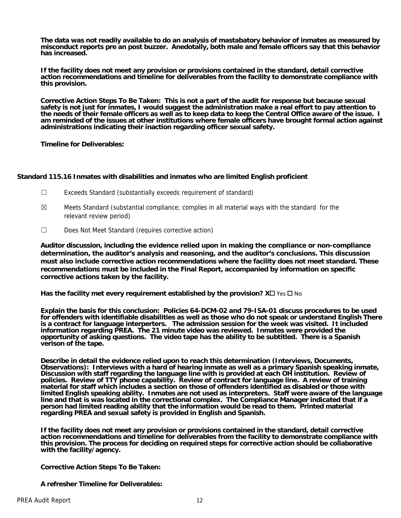**The data was not readily available to do an analysis of mastabatory behavior of inmates as measured by misconduct reports pre an post buzzer. Anedotally, both male and female officers say that this behavior has increased.** 

**If the facility does not meet any provision or provisions contained in the standard, detail corrective action recommendations and timeline for deliverables from the facility to demonstrate compliance with this provision.** 

**Corrective Action Steps To Be Taken: This is not a part of the audit for response but because sexual safety is not just for inmates, I would suggest the administration make a real effort to pay attention to the needs of their female officers as well as to keep data to keep the Central Office aware of the issue. I am reminded of the issues at other institutions where female officers have brought formal action against administrations indicating their inaction regarding officer sexual safety.** 

**Timeline for Deliverables:** 

## **Standard 115.16 Inmates with disabilities and inmates who are limited English proficient**

- ☐ Exceeds Standard (substantially exceeds requirement of standard)
- $\boxtimes$  Meets Standard (substantial compliance; complies in all material ways with the standard for the relevant review period)
- ☐ Does Not Meet Standard (requires corrective action)

**Auditor discussion, including the evidence relied upon in making the compliance or non-compliance determination, the auditor's analysis and reasoning, and the auditor's conclusions. This discussion must also include corrective action recommendations where the facility does not meet standard. These recommendations must be included in the Final Report, accompanied by information on specific corrective actions taken by the facility.**

**Has the facility met every requirement established by the provision?**  $X \Box Y$  **is**  $\Box$  **No** 

**Explain the basis for this conclusion: Policies 64-DCM-02 and 79-ISA-01 discuss procedures to be used for offenders with identifiable disabilities as well as those who do not speak or understand English There is a contract for language interperters. The admission session for the week was visited. It included information regarding PREA. The 21 minute video was reviewed. Inmates were provided the opportunity of asking questions. The video tape has the ability to be subtitled. There is a Spanish verison of the tape.** 

**Describe in detail the evidence relied upon to reach this determination (Interviews, Documents, Observations): Interviews with a hard of hearing inmate as well as a primary Spanish speaking inmate, Discussion with staff regarding the language line with is provided at each OH institution. Review of policies. Review of TTY phone capability. Review of contract for language line. A review of training material for staff which includes a section on those of offenders identified as disabled or those with limited English speaking ability. Inmates are not used as interpreters. Staff were aware of the language line and that is was located in the correctional complex. The Compliance Manager indicated that if a person had limited reading ability that the information would be read to them. Printed material regarding PREA and sexual safety is provided in English and Spanish.** 

**If the facility does not meet any provision or provisions contained in the standard, detail corrective action recommendations and timeline for deliverables from the facility to demonstrate compliance with this provision. The process for deciding on required steps for corrective action should be collaborative with the facility/agency.** 

**Corrective Action Steps To Be Taken:** 

**A refresher Timeline for Deliverables:**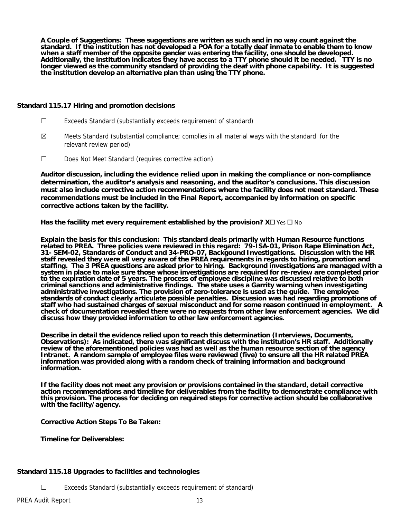**A Couple of Suggestions: These suggestions are written as such and in no way count against the standard. If the institution has not developed a POA for a totally deaf inmate to enable them to know when a staff member of the opposite gender was entering the facility, one should be developed. Additionally, the institution indicates they have access to a TTY phone should it be needed. TTY is no longer viewed as the community standard of providing the deaf with phone capability. It is suggested the institution develop an alternative plan than using the TTY phone.** 

## **Standard 115.17 Hiring and promotion decisions**

- ☐ Exceeds Standard (substantially exceeds requirement of standard)
- $\boxtimes$  Meets Standard (substantial compliance; complies in all material ways with the standard for the relevant review period)
- ☐ Does Not Meet Standard (requires corrective action)

**Auditor discussion, including the evidence relied upon in making the compliance or non-compliance determination, the auditor's analysis and reasoning, and the auditor's conclusions. This discussion must also include corrective action recommendations where the facility does not meet standard. These recommendations must be included in the Final Report, accompanied by information on specific corrective actions taken by the facility.**

**Has the facility met every requirement established by the provision?**  $X \square \text{ Yes } \square$  **No** 

**Explain the basis for this conclusion: This standard deals primarily with Human Resource functions related to PREA. Three policies were reviewed in this regard: 79-ISA-01, Prison Rape Elimination Act, 31- SEM-02, Standards of Conduct and 34-PRO-07, Backgound Investigations. Discussion with the HR staff revealed they were all very aware of the PREA requirements in regards to hiring, promotion and staffing. The 3 PREA questions are asked prior to hiring. Background investigations are managed with a system in place to make sure those whose investigations are required for re-review are completed prior to the expiration date of 5 years. The process of employee discipline was discussed relative to both criminal sanctions and administrative findings. The state uses a Garrity warning when investigating administrative investigations. The provision of zero-tolerance is used as the guide. The employee standards of conduct clearly articulate possible penalties. Discussion was had regarding promotions of staff who had sustained charges of sexual misconduct and for some reason continued in employment. A check of documentation revealed there were no requests from other law enforcement agencies. We did discuss how they provided information to other law enforcement agencies.** 

**Describe in detail the evidence relied upon to reach this determination (Interviews, Documents, Observations): As indicated, there was significant discuss with the institution's HR staff. Additionally review of the aforementioned policies was had as well as the human resource section of the agency Intranet. A random sample of employee files were reviewed (five) to ensure all the HR related PREA information was provided along with a random check of training information and background information.** 

**If the facility does not meet any provision or provisions contained in the standard, detail corrective action recommendations and timeline for deliverables from the facility to demonstrate compliance with this provision. The process for deciding on required steps for corrective action should be collaborative with the facility/agency.** 

**Corrective Action Steps To Be Taken:** 

**Timeline for Deliverables:** 

## **Standard 115.18 Upgrades to facilities and technologies**

☐ Exceeds Standard (substantially exceeds requirement of standard)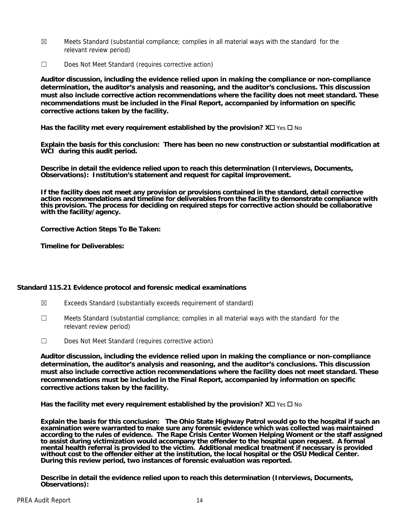- $\boxtimes$  Meets Standard (substantial compliance; complies in all material ways with the standard for the relevant review period)
- ☐ Does Not Meet Standard (requires corrective action)

**Auditor discussion, including the evidence relied upon in making the compliance or non-compliance determination, the auditor's analysis and reasoning, and the auditor's conclusions. This discussion must also include corrective action recommendations where the facility does not meet standard. These recommendations must be included in the Final Report, accompanied by information on specific corrective actions taken by the facility.**

**Has the facility met every requirement established by the provision?**  $X \Box Y$  **is**  $\Box$  **No** 

**Explain the basis for this conclusion: There has been no new construction or substantial modification at WCI during this audit period.** 

**Describe in detail the evidence relied upon to reach this determination (Interviews, Documents, Observations): Institution's statement and request for capital improvement.** 

**If the facility does not meet any provision or provisions contained in the standard, detail corrective action recommendations and timeline for deliverables from the facility to demonstrate compliance with this provision. The process for deciding on required steps for corrective action should be collaborative with the facility/agency.** 

**Corrective Action Steps To Be Taken:** 

**Timeline for Deliverables:** 

## **Standard 115.21 Evidence protocol and forensic medical examinations**

- $\boxtimes$  Exceeds Standard (substantially exceeds requirement of standard)
- $\Box$  Meets Standard (substantial compliance; complies in all material ways with the standard for the relevant review period)
- ☐ Does Not Meet Standard (requires corrective action)

**Auditor discussion, including the evidence relied upon in making the compliance or non-compliance determination, the auditor's analysis and reasoning, and the auditor's conclusions. This discussion must also include corrective action recommendations where the facility does not meet standard. These recommendations must be included in the Final Report, accompanied by information on specific corrective actions taken by the facility.**

**Has the facility met every requirement established by the provision?**  $X \square \text{ Yes } \square$  **No** 

**Explain the basis for this conclusion: The Ohio State Highway Patrol would go to the hospital if such an examination were warranted to make sure any forensic evidence which was collected was maintained according to the rules of evidence. The Rape Crisis Center Women Helping Woment or the staff assigned to assist during victimization would accompany the offender to the hospital upon request. A formal mental health referral is provided to the victim. Additional medical treatment if necessary is provided without cost to the offender either at the institution, the local hospital or the OSU Medical Center. During this review period, two instances of forensic evaluation was reported.** 

**Describe in detail the evidence relied upon to reach this determination (Interviews, Documents, Observations):**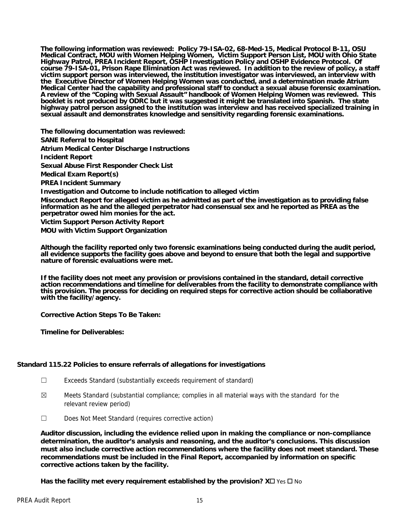**The following information was reviewed: Policy 79-ISA-02, 68-Med-15, Medical Protocol B-11, OSU Medical Contract, MOU with Women Helping Women, Victim Support Person List, MOU with Ohio State Highway Patrol, PREA Incident Report, OSHP Investigation Policy and OSHP Evidence Protocol. Of course 79-ISA-01, Prison Rape Elimination Act was reviewed. In addition to the review of policy, a staff victim support person was interviewed, the institution investigator was interviewed, an interview with the Executive Director of Women Helping Women was conducted, and a determination made Atrium Medical Center had the capability and professional staff to conduct a sexual abuse forensic examination. A review of the "Coping with Sexual Assault" handbook of Women Helping Women was reviewed. This booklet is not produced by ODRC but it was suggested it might be translated into Spanish. The state highway patrol person assigned to the institution was interview and has received specialized training in sexual assault and demonstrates knowledge and sensitivity regarding forensic examinations.** 

**The following documentation was reviewed: SANE Referral to Hospital Atrium Medical Center Discharge Instructions Incident Report Sexual Abuse First Responder Check List Medical Exam Report(s) PREA Incident Summary Investigation and Outcome to include notification to alleged victim Misconduct Report for alleged victim as he admitted as part of the investigation as to providing false information as he and the alleged perpetrator had consensual sex and he reported as PREA as the perpetrator owed him monies for the act. Victim Support Person Activity Report** 

**MOU with Victim Support Organization** 

**Although the facility reported only two forensic examinations being conducted during the audit period, all evidence supports the facility goes above and beyond to ensure that both the legal and supportive nature of forensic evaluations were met.** 

**If the facility does not meet any provision or provisions contained in the standard, detail corrective action recommendations and timeline for deliverables from the facility to demonstrate compliance with this provision. The process for deciding on required steps for corrective action should be collaborative with the facility/agency.** 

**Corrective Action Steps To Be Taken:** 

**Timeline for Deliverables:** 

## **Standard 115.22 Policies to ensure referrals of allegations for investigations**

- ☐ Exceeds Standard (substantially exceeds requirement of standard)
- $\boxtimes$  Meets Standard (substantial compliance; complies in all material ways with the standard for the relevant review period)
- ☐ Does Not Meet Standard (requires corrective action)

**Auditor discussion, including the evidence relied upon in making the compliance or non-compliance determination, the auditor's analysis and reasoning, and the auditor's conclusions. This discussion must also include corrective action recommendations where the facility does not meet standard. These recommendations must be included in the Final Report, accompanied by information on specific corrective actions taken by the facility.**

**Has the facility met every requirement established by the provision?**  $X \square \text{ Yes } \square$  **No**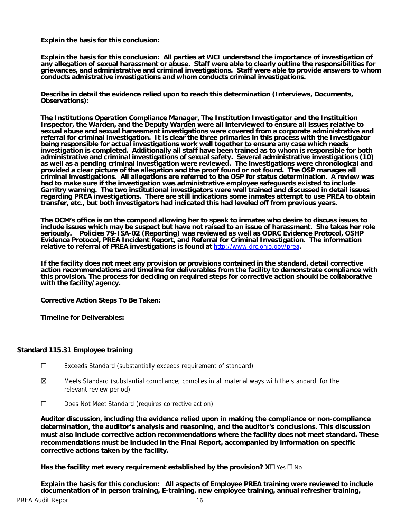**Explain the basis for this conclusion:** 

**Explain the basis for this conclusion: All parties at WCI understand the importance of investigation of any allegation of sexual harassment or abuse. Staff were able to clearly outline the responsibilities for grievances, and administrative and criminal investigations. Staff were able to provide answers to whom conducts admistrative investigations and whom conducts criminal investigations.** 

**Describe in detail the evidence relied upon to reach this determination (Interviews, Documents, Observations):** 

**The Institutions Operation Compliance Manager, The Institution Investigator and the Instituition Inspector, the Warden, and the Deputy Warden were all interviewed to ensure all issues relative to sexual abuse and sexual harassment investigations were covered from a corporate administrative and referral for criminal investigation. It is clear the three primaries in this process with the Investigator being responsible for actual investigations work well together to ensure any case which needs investigation is completed. Additionally all staff have been trained as to whom is responsible for both administrative and criminal investigations of sexual safety. Several administrative investigations (10) as well as a pending criminal investigation were reviewed. The investigations were chronological and provided a clear picture of the allegation and the proof found or not found. The OSP manages all criminal investigations. All allegations are referred to the OSP for status determination. A review was had to make sure if the investigation was administrative employee safeguards existed to include Garritry warning. The two institutional investigators were well trained and discussed in detail issues regarding PREA investigations. There are still indications some inmates attempt to use PREA to obtain transfer, etc., but both investigators had indicated this had leveled off from previous years.** 

**The OCM's office is on the compond allowing her to speak to inmates who desire to discuss issues to include issues which may be suspect but have not raised to an issue of harassment. She takes her role seriously. Policies 79-ISA-02 (Reporting) was reviewed as well as ODRC Evidence Protocol, OSHP Evidence Protocol, PREA Incident Report, and Referral for Criminal Investigation. The information relative to referral of PREA investigations is found at** http://www.drc.ohio.gov/prea**.** 

**If the facility does not meet any provision or provisions contained in the standard, detail corrective action recommendations and timeline for deliverables from the facility to demonstrate compliance with this provision. The process for deciding on required steps for corrective action should be collaborative with the facility/agency.** 

**Corrective Action Steps To Be Taken:** 

**Timeline for Deliverables:** 

## **Standard 115.31 Employee training**

- ☐ Exceeds Standard (substantially exceeds requirement of standard)
- $\boxtimes$  Meets Standard (substantial compliance; complies in all material ways with the standard for the relevant review period)
- ☐ Does Not Meet Standard (requires corrective action)

**Auditor discussion, including the evidence relied upon in making the compliance or non-compliance determination, the auditor's analysis and reasoning, and the auditor's conclusions. This discussion must also include corrective action recommendations where the facility does not meet standard. These recommendations must be included in the Final Report, accompanied by information on specific corrective actions taken by the facility.**

Has the facility met every requirement established by the provision?  $X\square$  Yes  $\square$  No

**Explain the basis for this conclusion: All aspects of Employee PREA training were reviewed to include documentation of in person training, E-training, new employee training, annual refresher training,**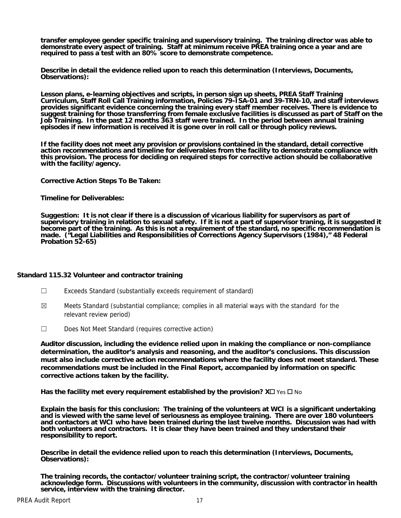**transfer employee gender specific training and supervisory training. The training director was able to demonstrate every aspect of training. Staff at minimum receive PREA training once a year and are required to pass a test with an 80% score to demonstrate competence.** 

**Describe in detail the evidence relied upon to reach this determination (Interviews, Documents, Observations):** 

**Lesson plans, e-learning objectives and scripts, in person sign up sheets, PREA Staff Training Curriculum, Staff Roll Call Training information, Policies 79-ISA-01 and 39-TRN-10, and staff interviews provides significant evidence concerning the training every staff member receives. There is evidence to suggest training for those transferring from female exclusive facilities is discussed as part of Staff on the Job Training. In the past 12 months 363 staff were trained. In the period between annual training episodes if new information is received it is gone over in roll call or through policy reviews.** 

**If the facility does not meet any provision or provisions contained in the standard, detail corrective action recommendations and timeline for deliverables from the facility to demonstrate compliance with this provision. The process for deciding on required steps for corrective action should be collaborative with the facility/agency.** 

**Corrective Action Steps To Be Taken:** 

**Timeline for Deliverables:** 

**Suggestion: It is not clear if there is a discussion of vicarious liability for supervisors as part of supervisory training in relation to sexual safety. If it is not a part of supervisor traning, it is suggested it become part of the training. As this is not a requirement of the standard, no specific recommendation is made. ("Legal Liabilities and Responsibilities of Corrections Agency Supervisors (1984)," 48 Federal Probation 52-65)** 

## **Standard 115.32 Volunteer and contractor training**

- ☐ Exceeds Standard (substantially exceeds requirement of standard)
- $\boxtimes$  Meets Standard (substantial compliance; complies in all material ways with the standard for the relevant review period)
- ☐ Does Not Meet Standard (requires corrective action)

**Auditor discussion, including the evidence relied upon in making the compliance or non-compliance determination, the auditor's analysis and reasoning, and the auditor's conclusions. This discussion must also include corrective action recommendations where the facility does not meet standard. These recommendations must be included in the Final Report, accompanied by information on specific corrective actions taken by the facility.**

Has the facility met every requirement established by the provision?  $X\square$  Yes  $\square$  No

**Explain the basis for this conclusion: The training of the volunteers at WCI is a significant undertaking and is viewed with the same level of seriousness as employee training. There are over 180 volunteers and contactors at WCI who have been trained during the last twelve months. Discussion was had with both volunteers and contractors. It is clear they have been trained and they understand their responsibility to report.** 

**Describe in detail the evidence relied upon to reach this determination (Interviews, Documents, Observations):** 

**The training records, the contactor/volunteer training script, the contractor/volunteer training acknowledge form. Discussions with volunteers in the community, discussion with contractor in health service, interview with the training director.**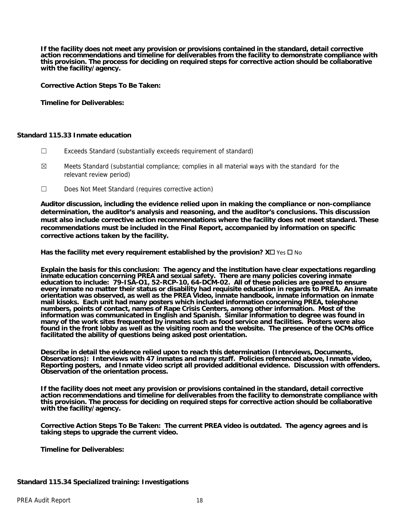**If the facility does not meet any provision or provisions contained in the standard, detail corrective action recommendations and timeline for deliverables from the facility to demonstrate compliance with this provision. The process for deciding on required steps for corrective action should be collaborative with the facility/agency.** 

**Corrective Action Steps To Be Taken:** 

**Timeline for Deliverables:** 

## **Standard 115.33 Inmate education**

- ☐ Exceeds Standard (substantially exceeds requirement of standard)
- $\boxtimes$  Meets Standard (substantial compliance; complies in all material ways with the standard for the relevant review period)
- ☐ Does Not Meet Standard (requires corrective action)

**Auditor discussion, including the evidence relied upon in making the compliance or non-compliance determination, the auditor's analysis and reasoning, and the auditor's conclusions. This discussion must also include corrective action recommendations where the facility does not meet standard. These recommendations must be included in the Final Report, accompanied by information on specific corrective actions taken by the facility.**

**Has the facility met every requirement established by the provision?**  $X \square \text{ Yes } \square$  **No** 

**Explain the basis for this conclusion: The agency and the institution have clear expectations regarding inmate education concerning PREA and sexual safety. There are many policies covering inmate education to include: 79-ISA-O1, 52-RCP-10, 64-DCM-02. All of these policies are geared to ensure every inmate no matter their status or disability had requisite education in regards to PREA. An inmate orientation was observed, as well as the PREA Video, inmate handbook, inmate information on inmate mail kisoks. Each unit had many posters which included information concerning PREA, telephone numbers, points of contact, names of Rape Crisis Centers, among other information. Most of the information was communicated in English and Spanish. Similar information to degree was found in many of the work sites frequented by inmates such as food service and facilities. Posters were also found in the front lobby as well as the visiting room and the website. The presence of the OCMs office facilitated the ability of questions being asked post orientation.** 

**Describe in detail the evidence relied upon to reach this determination (Interviews, Documents, Observations): Interviews with 47 inmates and many staff. Policies referenced above, Inmate video, Reporting posters, and Inmate video script all provided additional evidence. Discussion with offenders. Observation of the orientation process.** 

**If the facility does not meet any provision or provisions contained in the standard, detail corrective action recommendations and timeline for deliverables from the facility to demonstrate compliance with this provision. The process for deciding on required steps for corrective action should be collaborative with the facility/agency.** 

**Corrective Action Steps To Be Taken: The current PREA video is outdated. The agency agrees and is taking steps to upgrade the current video.** 

**Timeline for Deliverables:** 

## **Standard 115.34 Specialized training: Investigations**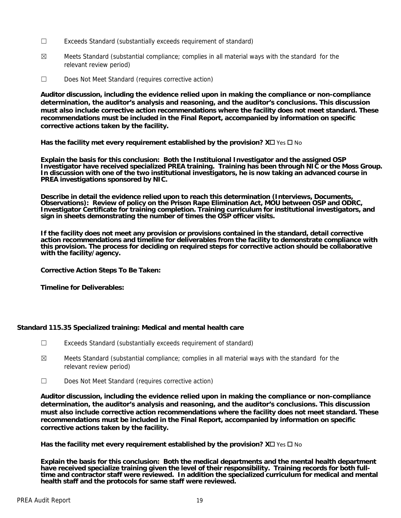- ☐ Exceeds Standard (substantially exceeds requirement of standard)
- $\boxtimes$  Meets Standard (substantial compliance; complies in all material ways with the standard for the relevant review period)
- ☐ Does Not Meet Standard (requires corrective action)

**Auditor discussion, including the evidence relied upon in making the compliance or non-compliance determination, the auditor's analysis and reasoning, and the auditor's conclusions. This discussion must also include corrective action recommendations where the facility does not meet standard. These recommendations must be included in the Final Report, accompanied by information on specific corrective actions taken by the facility.**

**Has the facility met every requirement established by the provision?**  $X \square YeS \square No$ 

**Explain the basis for this conclusion: Both the Instituional Investigator and the assigned OSP Investigator have received specialized PREA training. Training has been through NIC or the Moss Group. In discussion with one of the two institutional investigators, he is now taking an advanced course in PREA investigations sponsored by NIC.** 

**Describe in detail the evidence relied upon to reach this determination (Interviews, Documents, Observations): Review of policy on the Prison Rape Elimination Act, MOU between OSP and ODRC, Investigator Certificate for training completion. Training curriculum for institutional investigators, and sign in sheets demonstrating the number of times the OSP officer visits.** 

**If the facility does not meet any provision or provisions contained in the standard, detail corrective action recommendations and timeline for deliverables from the facility to demonstrate compliance with this provision. The process for deciding on required steps for corrective action should be collaborative with the facility/agency.** 

**Corrective Action Steps To Be Taken:** 

**Timeline for Deliverables:** 

## **Standard 115.35 Specialized training: Medical and mental health care**

- ☐ Exceeds Standard (substantially exceeds requirement of standard)
- $\boxtimes$  Meets Standard (substantial compliance; complies in all material ways with the standard for the relevant review period)
- ☐ Does Not Meet Standard (requires corrective action)

**Auditor discussion, including the evidence relied upon in making the compliance or non-compliance determination, the auditor's analysis and reasoning, and the auditor's conclusions. This discussion must also include corrective action recommendations where the facility does not meet standard. These recommendations must be included in the Final Report, accompanied by information on specific corrective actions taken by the facility.**

**Has the facility met every requirement established by the provision?**  $X \Box Y$  **is**  $\Box N$ **o** 

**Explain the basis for this conclusion: Both the medical departments and the mental health department have received specialize training given the level of their responsibility. Training records for both fulltime and contractor staff were reviewed. In addition the specialized curriculum for medical and mental health staff and the protocols for same staff were reviewed.**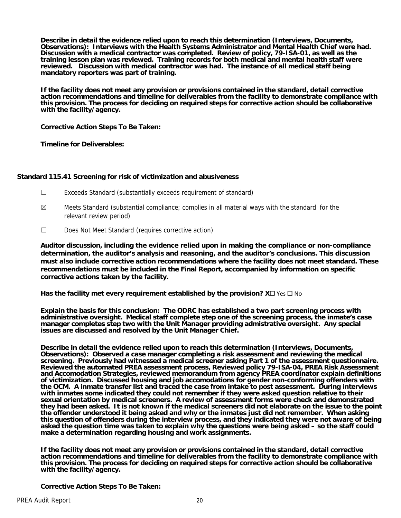**Describe in detail the evidence relied upon to reach this determination (Interviews, Documents, Observations): Interviews with the Health Systems Administrator and Mental Health Chief were had. Discussion with a medical contractor was completed. Review of policy, 79-ISA-01, as well as the training lesson plan was reviewed. Training records for both medical and mental health staff were reviewed. Discussion with medical contractor was had. The instance of all medical staff being mandatory reporters was part of training.** 

**If the facility does not meet any provision or provisions contained in the standard, detail corrective action recommendations and timeline for deliverables from the facility to demonstrate compliance with this provision. The process for deciding on required steps for corrective action should be collaborative with the facility/agency.** 

**Corrective Action Steps To Be Taken:** 

**Timeline for Deliverables:** 

## **Standard 115.41 Screening for risk of victimization and abusiveness**

- ☐ Exceeds Standard (substantially exceeds requirement of standard)
- $\boxtimes$  Meets Standard (substantial compliance; complies in all material ways with the standard for the relevant review period)
- ☐ Does Not Meet Standard (requires corrective action)

**Auditor discussion, including the evidence relied upon in making the compliance or non-compliance determination, the auditor's analysis and reasoning, and the auditor's conclusions. This discussion must also include corrective action recommendations where the facility does not meet standard. These recommendations must be included in the Final Report, accompanied by information on specific corrective actions taken by the facility.**

**Has the facility met every requirement established by the provision?**  $X \Box Y$  **is**  $\Box$  **No** 

**Explain the basis for this conclusion: The ODRC has established a two part screening process with administrative oversight. Medical staff complete step one of the screening process, the inmate's case manager completes step two with the Unit Manager providing admistrative oversight. Any special issues are discussed and resolved by the Unit Manager Chief.** 

**Describe in detail the evidence relied upon to reach this determination (Interviews, Documents, Observations): Observed a case manager completing a risk assessment and reviewing the medical screening. Previously had witnessed a medical screener asking Part 1 of the assessment questionnaire. Reviewed the automated PREA assessment process, Reviewed policy 79-ISA-04, PREA Risk Assessment and Accomodation Strategies, reviewed memorandum from agency PREA coordinator explain definitions of victimization. Discussed housing and job accomodations for gender non-conforming offenders with the OCM. A inmate transfer list and traced the case from intake to post assessment. During interviews with inmates some indicated they could not remember if they were asked question relative to their sexual orientation by medical screeners. A review of assessment forms were check and demonstrated they had been asked. It is not known if the medical screeners did not elaborate on the issue to the point the offender understood it being asked and why or the inmates just did not remember. When asking this question of offenders during the interview process, and they indicated they were not aware of being asked the question time was taken to explain why the questions were being asked – so the staff could make a determination regarding housing and work assignments.** 

**If the facility does not meet any provision or provisions contained in the standard, detail corrective action recommendations and timeline for deliverables from the facility to demonstrate compliance with this provision. The process for deciding on required steps for corrective action should be collaborative with the facility/agency.** 

**Corrective Action Steps To Be Taken:**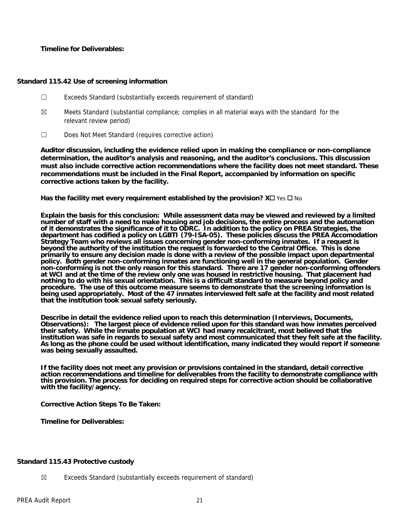## **Timeline for Deliverables:**

## **Standard 115.42 Use of screening information**

- ☐ Exceeds Standard (substantially exceeds requirement of standard)
- $\boxtimes$  Meets Standard (substantial compliance; complies in all material ways with the standard for the relevant review period)
- ☐ Does Not Meet Standard (requires corrective action)

**Auditor discussion, including the evidence relied upon in making the compliance or non-compliance determination, the auditor's analysis and reasoning, and the auditor's conclusions. This discussion must also include corrective action recommendations where the facility does not meet standard. These recommendations must be included in the Final Report, accompanied by information on specific corrective actions taken by the facility.**

**Has the facility met every requirement established by the provision?**  $X \Box Y$  **is**  $\Box$  **No** 

**Explain the basis for this conclusion: While assessment data may be viewed and reviewed by a limited number of staff with a need to make housing and job decisions, the entire process and the automation of it demonstrates the significance of it to ODRC. In addition to the policy on PREA Strategies, the department has codified a policy on LGBTI (79-ISA-05). These policies discuss the PREA Accomodation Strategy Team who reviews all issues concerning gender non-conforming inmates. If a request is beyond the authority of the institution the request is forwarded to the Central Office. This is done primarily to ensure any decision made is done with a review of the possible impact upon departmental**  policy. Both gender non-conforming inmates are functioning well in the general population. Gender **non-conforming is not the only reason for this standard. There are 17 gender non-conforming offenders at WCI and at the time of the review only one was housed in restrictive housing. That placement had nothing to do with his sexual orientation. This is a difficult standard to measure beyond policy and procedure. The use of this outcome measure seems to demonstrate that the screening information is being used appropriately. Most of the 47 inmates interviewed felt safe at the facility and most related that the institution took sexual safety seriously.** 

**Describe in detail the evidence relied upon to reach this determination (Interviews, Documents, Observations): The largest piece of evidence relied upon for this standard was how inmates perceived their safety. While the inmate population at WCI had many recalcitrant, most believed that the institution was safe in regards to sexual safety and most communicated that they felt safe at the facility. As long as the phone could be used without identification, many indicated they would report if someone was being sexually assaulted.** 

**If the facility does not meet any provision or provisions contained in the standard, detail corrective action recommendations and timeline for deliverables from the facility to demonstrate compliance with this provision. The process for deciding on required steps for corrective action should be collaborative with the facility/agency.** 

## **Corrective Action Steps To Be Taken:**

**Timeline for Deliverables:** 

## **Standard 115.43 Protective custody**

 $\boxtimes$  Exceeds Standard (substantially exceeds requirement of standard)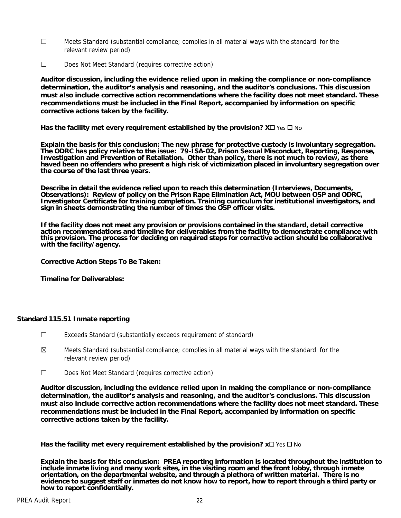- $\Box$  Meets Standard (substantial compliance; complies in all material ways with the standard for the relevant review period)
- ☐ Does Not Meet Standard (requires corrective action)

**Auditor discussion, including the evidence relied upon in making the compliance or non-compliance determination, the auditor's analysis and reasoning, and the auditor's conclusions. This discussion must also include corrective action recommendations where the facility does not meet standard. These recommendations must be included in the Final Report, accompanied by information on specific corrective actions taken by the facility.**

**Has the facility met every requirement established by the provision?**  $X \Box Y$  **is**  $\Box$  **No** 

**Explain the basis for this conclusion: The new phrase for protective custody is involuntary segregation. The ODRC has policy relative to the issue: 79-ISA-02, Prison Sexual Misconduct, Reporting, Response, Investigation and Prevention of Retaliation. Other than policy, there is not much to review, as there haved been no offenders who present a high risk of victimization placed in involuntary segregation over the course of the last three years.** 

**Describe in detail the evidence relied upon to reach this determination (Interviews, Documents, Observations): Review of policy on the Prison Rape Elimination Act, MOU between OSP and ODRC, Investigator Certificate for training completion. Training curriculum for institutional investigators, and sign in sheets demonstrating the number of times the OSP officer visits.** 

**If the facility does not meet any provision or provisions contained in the standard, detail corrective action recommendations and timeline for deliverables from the facility to demonstrate compliance with this provision. The process for deciding on required steps for corrective action should be collaborative with the facility/agency.** 

**Corrective Action Steps To Be Taken:** 

**Timeline for Deliverables:** 

## **Standard 115.51 Inmate reporting**

- ☐ Exceeds Standard (substantially exceeds requirement of standard)
- $\boxtimes$  Meets Standard (substantial compliance; complies in all material ways with the standard for the relevant review period)
- ☐ Does Not Meet Standard (requires corrective action)

**Auditor discussion, including the evidence relied upon in making the compliance or non-compliance determination, the auditor's analysis and reasoning, and the auditor's conclusions. This discussion must also include corrective action recommendations where the facility does not meet standard. These recommendations must be included in the Final Report, accompanied by information on specific corrective actions taken by the facility.**

**Has the facility met every requirement established by the provision?**  $x \Box$  Yes  $\Box$  No

**Explain the basis for this conclusion: PREA reporting information is located throughout the institution to include inmate living and many work sites, in the visiting room and the front lobby, through inmate orientation, on the departmental website, and through a plethora of written material. There is no evidence to suggest staff or inmates do not know how to report, how to report through a third party or how to report confidentially.**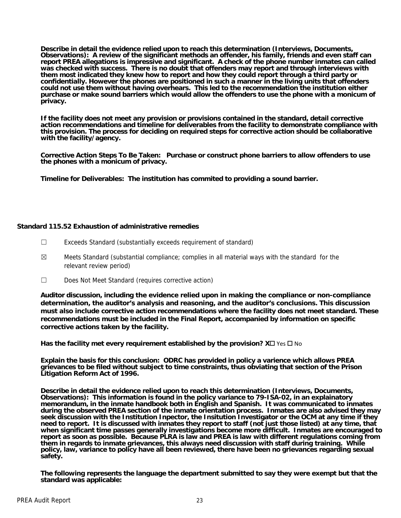**Describe in detail the evidence relied upon to reach this determination (Interviews, Documents, Observations): A review of the significant methods an offender, his family, friends and even staff can report PREA allegations is impressive and significant. A check of the phone number inmates can called was checked with success. There is no doubt that offenders may report and through interviews with them most indicated they knew how to report and how they could report through a third party or confidentially. However the phones are positioned in such a manner in the living units that offenders could not use them without having overhears. This led to the recommendation the institution either purchase or make sound barriers which would allow the offenders to use the phone with a monicum of privacy.** 

**If the facility does not meet any provision or provisions contained in the standard, detail corrective action recommendations and timeline for deliverables from the facility to demonstrate compliance with this provision. The process for deciding on required steps for corrective action should be collaborative with the facility/agency.** 

**Corrective Action Steps To Be Taken: Purchase or construct phone barriers to allow offenders to use the phones with a monicum of privacy.** 

**Timeline for Deliverables: The institution has commited to providing a sound barrier.** 

## **Standard 115.52 Exhaustion of administrative remedies**

- ☐ Exceeds Standard (substantially exceeds requirement of standard)
- $\boxtimes$  Meets Standard (substantial compliance; complies in all material ways with the standard for the relevant review period)
- ☐ Does Not Meet Standard (requires corrective action)

**Auditor discussion, including the evidence relied upon in making the compliance or non-compliance determination, the auditor's analysis and reasoning, and the auditor's conclusions. This discussion must also include corrective action recommendations where the facility does not meet standard. These recommendations must be included in the Final Report, accompanied by information on specific corrective actions taken by the facility.**

**Has the facility met every requirement established by the provision?**  $X \Box Y$  **is**  $\Box N$ **o** 

**Explain the basis for this conclusion: ODRC has provided in policy a varience which allows PREA grievances to be filed without subject to time constraints, thus obviating that section of the Prison Litigation Reform Act of 1996.** 

**Describe in detail the evidence relied upon to reach this determination (Interviews, Documents, Observations): This information is found in the policy variance to 79-ISA-02, in an explainatory memorandum, in the inmate handbook both in English and Spanish. It was communicated to inmates during the observed PREA section of the inmate orientation process. Inmates are also advised they may**  seek discussion with the Institution Inpector, the Insitution Investigator or the OCM at any time if they<br>need to report. It is discussed with inmates they report to staff (not just those listed) at any time, that **when significant time passes generally investigations become more difficult. Inmates are encouraged to report as soon as possible. Because PLRA is law and PREA is law with different regulations coming from them in regards to inmate grievances, this always need discussion with staff during training. While policy, law, variance to policy have all been reviewed, there have been no grievances regarding sexual safety.** 

**The following represents the language the department submitted to say they were exempt but that the standard was applicable:**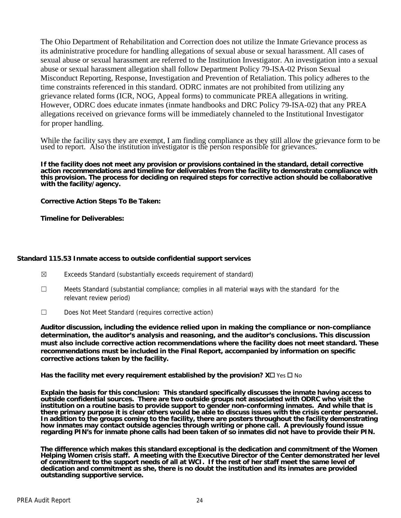The Ohio Department of Rehabilitation and Correction does not utilize the Inmate Grievance process as its administrative procedure for handling allegations of sexual abuse or sexual harassment. All cases of sexual abuse or sexual harassment are referred to the Institution Investigator. An investigation into a sexual abuse or sexual harassment allegation shall follow Department Policy 79-ISA-02 Prison Sexual Misconduct Reporting, Response, Investigation and Prevention of Retaliation. This policy adheres to the time constraints referenced in this standard. ODRC inmates are not prohibited from utilizing any grievance related forms (ICR, NOG, Appeal forms) to communicate PREA allegations in writing. However, ODRC does educate inmates (inmate handbooks and DRC Policy 79-ISA-02) that any PREA allegations received on grievance forms will be immediately channeled to the Institutional Investigator for proper handling.

While the facility says they are exempt, I am finding compliance as they still allow the grievance form to be used to report. Also the institution investigator is the person responsible for grievances.

**If the facility does not meet any provision or provisions contained in the standard, detail corrective action recommendations and timeline for deliverables from the facility to demonstrate compliance with this provision. The process for deciding on required steps for corrective action should be collaborative with the facility/agency.** 

**Corrective Action Steps To Be Taken:** 

**Timeline for Deliverables:** 

## **Standard 115.53 Inmate access to outside confidential support services**

- $\boxtimes$  Exceeds Standard (substantially exceeds requirement of standard)
- ☐ Meets Standard (substantial compliance; complies in all material ways with the standard for the relevant review period)
- ☐ Does Not Meet Standard (requires corrective action)

**Auditor discussion, including the evidence relied upon in making the compliance or non-compliance determination, the auditor's analysis and reasoning, and the auditor's conclusions. This discussion must also include corrective action recommendations where the facility does not meet standard. These recommendations must be included in the Final Report, accompanied by information on specific corrective actions taken by the facility.**

**Has the facility met every requirement established by the provision?**  $X \square \text{ Yes } \square$  **No** 

**Explain the basis for this conclusion: This standard specifically discusses the inmate having access to outside confidential sources. There are two outside groups not associated with ODRC who visit the institution on a routine basis to provide support to gender non-conforming inmates. And while that is there primary purpose it is clear others would be able to discuss issues with the crisis center personnel. In addition to the groups coming to the facility, there are posters throughout the facility demonstrating how inmates may contact outside agencies through writing or phone call. A previously found issue regarding PIN's for inmate phone calls had been taken of so inmates did not have to provide their PIN.** 

**The difference which makes this standard exceptional is the dedication and commitment of the Women Helping Women crisis staff. A meeting with the Executive Director of the Center demonstrated her level of commitment to the support needs of all at WCI. If the rest of her staff meet the same level of dedication and commitment as she, there is no doubt the institution and its inmates are provided outstanding supportive service.**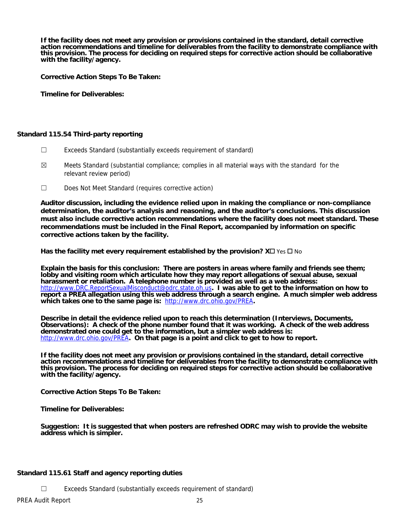**If the facility does not meet any provision or provisions contained in the standard, detail corrective action recommendations and timeline for deliverables from the facility to demonstrate compliance with this provision. The process for deciding on required steps for corrective action should be collaborative with the facility/agency.** 

**Corrective Action Steps To Be Taken:** 

**Timeline for Deliverables:** 

## **Standard 115.54 Third-party reporting**

- ☐ Exceeds Standard (substantially exceeds requirement of standard)
- $\boxtimes$  Meets Standard (substantial compliance; complies in all material ways with the standard for the relevant review period)
- ☐ Does Not Meet Standard (requires corrective action)

**Auditor discussion, including the evidence relied upon in making the compliance or non-compliance determination, the auditor's analysis and reasoning, and the auditor's conclusions. This discussion must also include corrective action recommendations where the facility does not meet standard. These recommendations must be included in the Final Report, accompanied by information on specific corrective actions taken by the facility.**

Has the facility met every requirement established by the provision?  $X\square$  Yes  $\square$  No

**Explain the basis for this conclusion: There are posters in areas where family and friends see them; lobby and visiting room which articulate how they may report allegations of sexual abuse, sexual harassment or retaliation. A telephone number is provided as well as a web address:**  http://www.DRC.ReportSexualMisconduct@odrc.state.oh.us**. I was able to get to the information on how to report a PREA allegation using this web address through a search engine. A much simpler web address which takes one to the same page is:** http://www.drc.ohio.gov/PREA**.** 

**Describe in detail the evidence relied upon to reach this determination (Interviews, Documents, Observations): A check of the phone number found that it was working. A check of the web address demonstrated one could get to the information, but a simpler web address is:**  http://www.drc.ohio.gov/PREA. On that page is a point and click to get to how to report.

**If the facility does not meet any provision or provisions contained in the standard, detail corrective action recommendations and timeline for deliverables from the facility to demonstrate compliance with this provision. The process for deciding on required steps for corrective action should be collaborative with the facility/agency.** 

**Corrective Action Steps To Be Taken:** 

**Timeline for Deliverables:** 

**Suggestion: It is suggested that when posters are refreshed ODRC may wish to provide the website address which is simpler.** 

## **Standard 115.61 Staff and agency reporting duties**

☐ Exceeds Standard (substantially exceeds requirement of standard)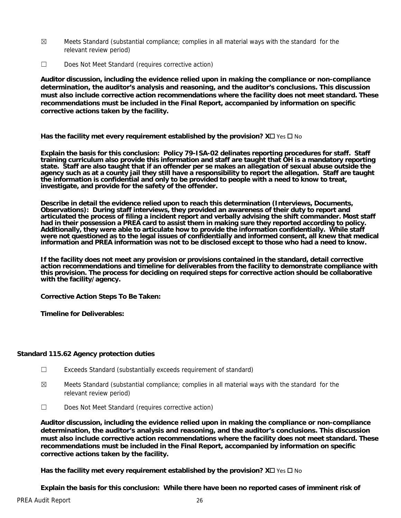- $\boxtimes$  Meets Standard (substantial compliance; complies in all material ways with the standard for the relevant review period)
- ☐ Does Not Meet Standard (requires corrective action)

**Auditor discussion, including the evidence relied upon in making the compliance or non-compliance determination, the auditor's analysis and reasoning, and the auditor's conclusions. This discussion must also include corrective action recommendations where the facility does not meet standard. These recommendations must be included in the Final Report, accompanied by information on specific corrective actions taken by the facility.**

**Has the facility met every requirement established by the provision?**  $X \square YeS \square No$ 

**Explain the basis for this conclusion: Policy 79-ISA-02 delinates reporting procedures for staff. Staff training curriculum also provide this information and staff are taught that OH is a mandatory reporting state. Staff are also taught that if an offender per se makes an allegation of sexual abuse outside the agency such as at a county jail they still have a responsibility to report the allegation. Staff are taught the information is confidential and only to be provided to people with a need to know to treat, investigate, and provide for the safety of the offender.** 

**Describe in detail the evidence relied upon to reach this determination (Interviews, Documents, Observations): During staff interviews, they provided an awareness of their duty to report and articulated the process of filing a incident report and verbally advising the shift commander. Most staff had in their possession a PREA card to assist them in making sure they reported according to policy. Additionally, they were able to articulate how to provide the information confidentially. While staff**  were not questioned as to the legal issues of confidentially and informed consent, all knew that medical **information and PREA information was not to be disclosed except to those who had a need to know.** 

**If the facility does not meet any provision or provisions contained in the standard, detail corrective action recommendations and timeline for deliverables from the facility to demonstrate compliance with this provision. The process for deciding on required steps for corrective action should be collaborative with the facility/agency.** 

**Corrective Action Steps To Be Taken:** 

**Timeline for Deliverables:** 

## **Standard 115.62 Agency protection duties**

- ☐ Exceeds Standard (substantially exceeds requirement of standard)
- $\boxtimes$  Meets Standard (substantial compliance; complies in all material ways with the standard for the relevant review period)
- ☐ Does Not Meet Standard (requires corrective action)

**Auditor discussion, including the evidence relied upon in making the compliance or non-compliance determination, the auditor's analysis and reasoning, and the auditor's conclusions. This discussion must also include corrective action recommendations where the facility does not meet standard. These recommendations must be included in the Final Report, accompanied by information on specific corrective actions taken by the facility.**

**Has the facility met every requirement established by the provision?**  $X \square \text{ Yes } \square$  **No** 

**Explain the basis for this conclusion: While there have been no reported cases of imminent risk of**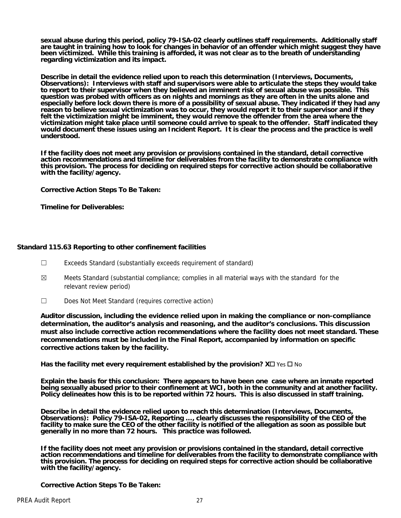**sexual abuse during this period, policy 79-ISA-02 clearly outlines staff requirements. Additionally staff are taught in training how to look for changes in behavior of an offender which might suggest they have been victimized. While this training is afforded, it was not clear as to the breath of understanding regarding victimization and its impact.** 

**Describe in detail the evidence relied upon to reach this determination (Interviews, Documents, Observations): Interviews with staff and supervisors were able to articulate the steps they would take to report to their supervisor when they believed an imminent risk of sexual abuse was possible. This question was probed with officers as on nights and mornings as they are often in the units alone and especially before lock down there is more of a possibility of sexual abuse. They indicated if they had any reason to believe sexual victimization was to occur, they would report it to their supervisor and if they felt the victimization might be imminent, they would remove the offender from the area where the victimization might take place until someone could arrive to speak to the offender. Staff indicated they would document these issues using an Incident Report. It is clear the process and the practice is well understood.** 

**If the facility does not meet any provision or provisions contained in the standard, detail corrective action recommendations and timeline for deliverables from the facility to demonstrate compliance with this provision. The process for deciding on required steps for corrective action should be collaborative with the facility/agency.** 

**Corrective Action Steps To Be Taken:** 

**Timeline for Deliverables:** 

## **Standard 115.63 Reporting to other confinement facilities**

- ☐ Exceeds Standard (substantially exceeds requirement of standard)
- $\boxtimes$  Meets Standard (substantial compliance; complies in all material ways with the standard for the relevant review period)
- ☐ Does Not Meet Standard (requires corrective action)

**Auditor discussion, including the evidence relied upon in making the compliance or non-compliance determination, the auditor's analysis and reasoning, and the auditor's conclusions. This discussion must also include corrective action recommendations where the facility does not meet standard. These recommendations must be included in the Final Report, accompanied by information on specific corrective actions taken by the facility.**

**Has the facility met every requirement established by the provision?**  $X \Box Y$  **is**  $\Box$  **No** 

**Explain the basis for this conclusion: There appears to have been one case where an inmate reported being sexually abused prior to their confinement at WCI, both in the community and at another facility. Policy delineates how this is to be reported within 72 hours. This is also discussed in staff training.** 

**Describe in detail the evidence relied upon to reach this determination (Interviews, Documents, Observations): Policy 79-ISA-02, Reporting …, clearly discusses the responsibility of the CEO of the facility to make sure the CEO of the other facility is notified of the allegation as soon as possible but generally in no more than 72 hours. This practice was followed.** 

**If the facility does not meet any provision or provisions contained in the standard, detail corrective action recommendations and timeline for deliverables from the facility to demonstrate compliance with this provision. The process for deciding on required steps for corrective action should be collaborative with the facility/agency.** 

**Corrective Action Steps To Be Taken:**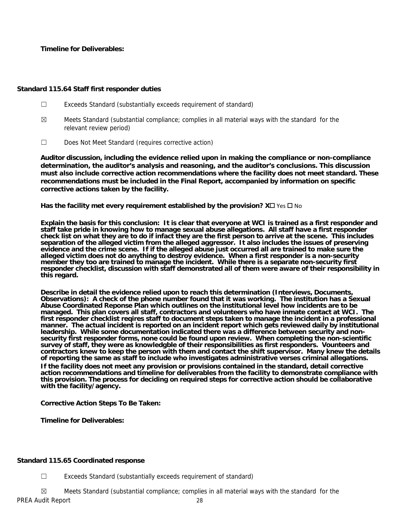**Timeline for Deliverables:** 

## **Standard 115.64 Staff first responder duties**

- ☐ Exceeds Standard (substantially exceeds requirement of standard)
- $\boxtimes$  Meets Standard (substantial compliance; complies in all material ways with the standard for the relevant review period)
- ☐ Does Not Meet Standard (requires corrective action)

**Auditor discussion, including the evidence relied upon in making the compliance or non-compliance determination, the auditor's analysis and reasoning, and the auditor's conclusions. This discussion must also include corrective action recommendations where the facility does not meet standard. These recommendations must be included in the Final Report, accompanied by information on specific corrective actions taken by the facility.**

**Has the facility met every requirement established by the provision?**  $X \square \text{ Yes } \square$  **No** 

**Explain the basis for this conclusion: It is clear that everyone at WCI is trained as a first responder and staff take pride in knowing how to manage sexual abuse allegations. All staff have a first responder**  check list on what they are to do if infact they are the first person to arrive at the scene. This includes **separation of the alleged victim from the alleged aggressor. It also includes the issues of preserving evidence and the crime scene. If if the alleged abuse just occurred all are trained to make sure the alleged victim does not do anything to destroy evidence. When a first responder is a non-security member they too are trained to manage the incident. While there is a separate non-security first responder checklist, discussion with staff demonstrated all of them were aware of their responsibility in this regard.** 

**Describe in detail the evidence relied upon to reach this determination (Interviews, Documents, Observations): A check of the phone number found that it was working. The institution has a Sexual Abuse Coordinated Reponse Plan which outlines on the institutional level how incidents are to be managed. This plan covers all staff, contractors and volunteers who have inmate contact at WCI. The first responder checklist reqires staff to document steps taken to manage the incident in a professional**  manner. The actual incident is reported on an incident report which gets reviewed daily by institutional **leadership. While some documentation indicated there was a difference between security and nonsecurity first responder forms, none could be found upon review. When completing the non-scientific survey of staff, they were as knowledgble of their responsibilities as first responders. Vounteers and contractors knew to keep the person with them and contact the shift supervisor. Many knew the details of reporting the same as staff to include who investigates administrative verses criminal allegations.** 

**If the facility does not meet any provision or provisions contained in the standard, detail corrective action recommendations and timeline for deliverables from the facility to demonstrate compliance with this provision. The process for deciding on required steps for corrective action should be collaborative with the facility/agency.** 

## **Corrective Action Steps To Be Taken:**

**Timeline for Deliverables:** 

## **Standard 115.65 Coordinated response**

☐ Exceeds Standard (substantially exceeds requirement of standard)

PREA Audit Report 28  $\boxtimes$  Meets Standard (substantial compliance; complies in all material ways with the standard for the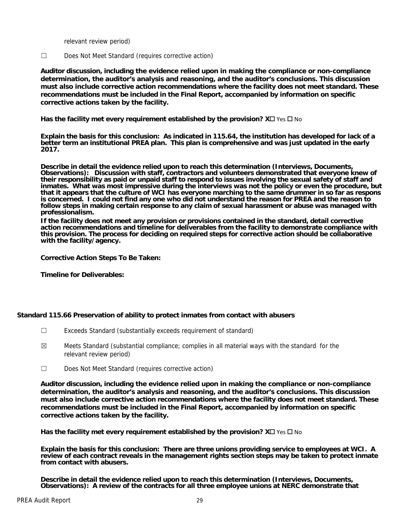relevant review period)

☐ Does Not Meet Standard (requires corrective action)

**Auditor discussion, including the evidence relied upon in making the compliance or non-compliance determination, the auditor's analysis and reasoning, and the auditor's conclusions. This discussion must also include corrective action recommendations where the facility does not meet standard. These recommendations must be included in the Final Report, accompanied by information on specific corrective actions taken by the facility.**

**Has the facility met every requirement established by the provision?**  $X \square Y$ **es**  $\square$  **No** 

**Explain the basis for this conclusion: As indicated in 115.64, the institution has developed for lack of a better term an institutional PREA plan. This plan is comprehensive and was just updated in the early 2017.** 

**Describe in detail the evidence relied upon to reach this determination (Interviews, Documents, Observations): Discussion with staff, contractors and volunteers demonstrated that everyone knew of their responsibility as paid or unpaid staff to respond to issues involving the sexual safety of staff and inmates. What was most impressive during the interviews was not the policy or even the procedure, but that it appears that the culture of WCI has everyone marching to the same drummer in so far as respons is concerned. I could not find any one who did not understand the reason for PREA and the reason to follow steps in making certain response to any claim of sexual harassment or abuse was managed with professionalism.** 

**If the facility does not meet any provision or provisions contained in the standard, detail corrective action recommendations and timeline for deliverables from the facility to demonstrate compliance with this provision. The process for deciding on required steps for corrective action should be collaborative with the facility/agency.** 

**Corrective Action Steps To Be Taken:** 

**Timeline for Deliverables:** 

## **Standard 115.66 Preservation of ability to protect inmates from contact with abusers**

- ☐ Exceeds Standard (substantially exceeds requirement of standard)
- $\boxtimes$  Meets Standard (substantial compliance; complies in all material ways with the standard for the relevant review period)
- ☐ Does Not Meet Standard (requires corrective action)

**Auditor discussion, including the evidence relied upon in making the compliance or non-compliance determination, the auditor's analysis and reasoning, and the auditor's conclusions. This discussion must also include corrective action recommendations where the facility does not meet standard. These recommendations must be included in the Final Report, accompanied by information on specific corrective actions taken by the facility.**

**Has the facility met every requirement established by the provision?**  $X \square Y$ **es**  $\square$  **No** 

**Explain the basis for this conclusion: There are three unions providing service to employees at WCI. A review of each contract reveals in the management rights section steps may be taken to protect inmate from contact with abusers.** 

**Describe in detail the evidence relied upon to reach this determination (Interviews, Documents, Observations): A review of the contracts for all three employee unions at NERC demonstrate that**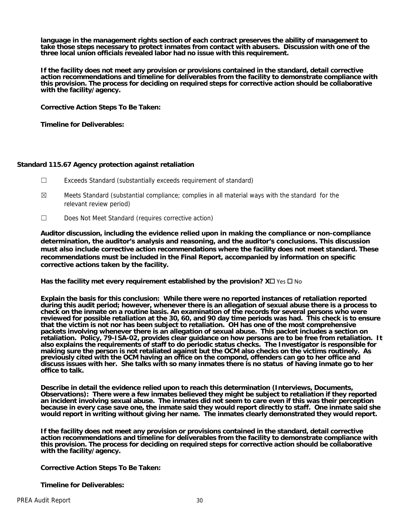**language in the management rights section of each contract preserves the ability of management to take those steps necessary to protect inmates from contact with abusers. Discussion with one of the three local union officials revealed labor had no issue with this requirement.** 

**If the facility does not meet any provision or provisions contained in the standard, detail corrective action recommendations and timeline for deliverables from the facility to demonstrate compliance with this provision. The process for deciding on required steps for corrective action should be collaborative with the facility/agency.** 

**Corrective Action Steps To Be Taken:** 

**Timeline for Deliverables:** 

## **Standard 115.67 Agency protection against retaliation**

- ☐ Exceeds Standard (substantially exceeds requirement of standard)
- $\boxtimes$  Meets Standard (substantial compliance; complies in all material ways with the standard for the relevant review period)
- ☐ Does Not Meet Standard (requires corrective action)

**Auditor discussion, including the evidence relied upon in making the compliance or non-compliance determination, the auditor's analysis and reasoning, and the auditor's conclusions. This discussion must also include corrective action recommendations where the facility does not meet standard. These recommendations must be included in the Final Report, accompanied by information on specific corrective actions taken by the facility.**

**Has the facility met every requirement established by the provision?**  $X \Box Y$  **is**  $\Box N$ **o** 

**Explain the basis for this conclusion: While there were no reported instances of retaliation reported during this audit period; however, whenever there is an allegation of sexual abuse there is a process to check on the inmate on a routine basis. An examination of the records for several persons who were reviewed for possible retaliation at the 30, 60, and 90 day time periods was had. This check is to ensure that the victim is not nor has been subject to retaliation. OH has one of the most comprehensive packets involving whenever there is an allegation of sexual abuse. This packet includes a section on retaliation. Policy, 79-ISA-02, provides clear guidance on how persons are to be free from retaliation. It also explains the requirements of staff to do periodic status checks. The Investigator is responsible for making sure the person is not retaliated against but the OCM also checks on the victims routinely. As previously cited with the OCM having an office on the compond, offenders can go to her office and discuss issues with her. She talks with so many inmates there is no status of having inmate go to her office to talk.** 

**Describe in detail the evidence relied upon to reach this determination (Interviews, Documents, Observations): There were a few inmates believed they might be subject to retaliation if they reported an incident involving sexual abuse. The inmates did not seem to care even if this was their perception because in every case save one, the inmate said they would report directly to staff. One inmate said she would report in writing without giving her name. The inmates clearly demonstrated they would report.** 

**If the facility does not meet any provision or provisions contained in the standard, detail corrective action recommendations and timeline for deliverables from the facility to demonstrate compliance with this provision. The process for deciding on required steps for corrective action should be collaborative with the facility/agency.** 

**Corrective Action Steps To Be Taken:** 

**Timeline for Deliverables:**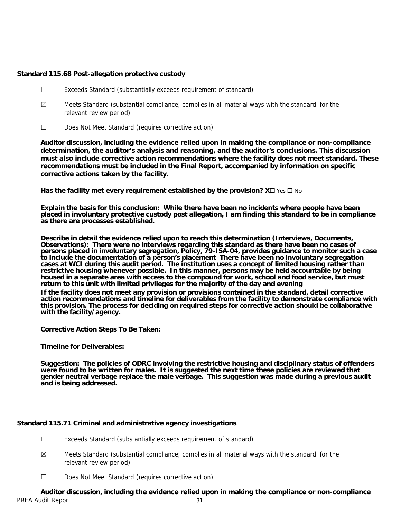## **Standard 115.68 Post-allegation protective custody**

- ☐ Exceeds Standard (substantially exceeds requirement of standard)
- $\boxtimes$  Meets Standard (substantial compliance; complies in all material ways with the standard for the relevant review period)
- ☐ Does Not Meet Standard (requires corrective action)

**Auditor discussion, including the evidence relied upon in making the compliance or non-compliance determination, the auditor's analysis and reasoning, and the auditor's conclusions. This discussion must also include corrective action recommendations where the facility does not meet standard. These recommendations must be included in the Final Report, accompanied by information on specific corrective actions taken by the facility.**

**Has the facility met every requirement established by the provision?**  $X \square \text{ Yes } \square$  **No** 

**Explain the basis for this conclusion: While there have been no incidents where people have been placed in involuntary protective custody post allegation, I am finding this standard to be in compliance as there are processes established.** 

**Describe in detail the evidence relied upon to reach this determination (Interviews, Documents, Observations): There were no interviews regarding this standard as there have been no cases of persons placed in involuntary segregation, Policy, 79-ISA-04, provides guidance to monitor such a case to inciude the documentation of a person's placement There have been no involuntary segregation cases at WCI during this audit period. The institution uses a concept of limited housing rather than restrictive housing whenever possible. In this manner, persons may be held accountable by being housed in a separate area with access to the compound for work, school and food service, but must return to this unit with limited privileges for the majority of the day and evening** 

**If the facility does not meet any provision or provisions contained in the standard, detail corrective action recommendations and timeline for deliverables from the facility to demonstrate compliance with this provision. The process for deciding on required steps for corrective action should be collaborative with the facility/agency.** 

**Corrective Action Steps To Be Taken:** 

**Timeline for Deliverables:** 

**Suggestion: The policies of ODRC involving the restrictive housing and disciplinary status of offenders**  were found to be written for males. It is suggested the next time these policies are reviewed that **gender neutral verbage replace the male verbage. This suggestion was made during a previous audit and is being addressed.** 

## **Standard 115.71 Criminal and administrative agency investigations**

- ☐ Exceeds Standard (substantially exceeds requirement of standard)
- $\boxtimes$  Meets Standard (substantial compliance; complies in all material ways with the standard for the relevant review period)
- ☐ Does Not Meet Standard (requires corrective action)

PREA Audit Report 31 **Auditor discussion, including the evidence relied upon in making the compliance or non-compliance**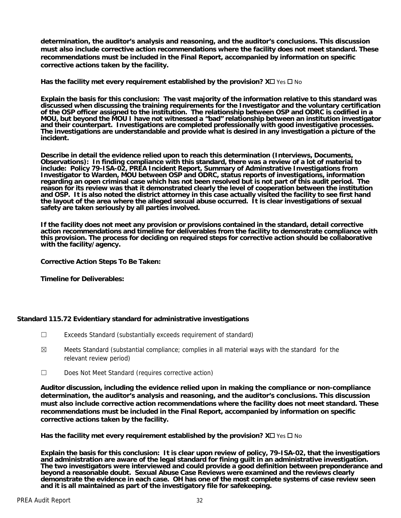**determination, the auditor's analysis and reasoning, and the auditor's conclusions. This discussion must also include corrective action recommendations where the facility does not meet standard. These recommendations must be included in the Final Report, accompanied by information on specific corrective actions taken by the facility.**

**Has the facility met every requirement established by the provision?**  $X \Box Y$  **es**  $\Box$  **No** 

**Explain the basis for this conclusion: The vast majority of the information relative to this standard was discussed when discussing the training requirements for the Investigator and the voluntary certification of the OSP officer assigned to the institution. The relationship between OSP and ODRC is codified in a MOU, but beyond the MOU I have not witnessed a "bad" relationship between an institution investigator and their counterpart. Investigations are completed professionally with good investigative processes. The investigations are understandable and provide what is desired in any investigation a picture of the incident.** 

**Describe in detail the evidence relied upon to reach this determination (Interviews, Documents, Observations): In finding compliance with this standard, there was a review of a lot of material to include: Policy 79-ISA-02, PREA Incident Report, Summary of Adminstrative Investigations from Investigator to Warden, MOU between OSP and ODRC, status reports of investigations, information regarding an open criminal case which has not been resolved but is not part of this audit period. The reason for its review was that it demonstrated clearly the level of cooperation between the institution and OSP. It is also noted the district attorney in this case actually visited the facility to see first hand the layout of the area where the alleged sexual abuse occurred. It is clear investigations of sexual safety are taken seriously by all parties involved.** 

**If the facility does not meet any provision or provisions contained in the standard, detail corrective action recommendations and timeline for deliverables from the facility to demonstrate compliance with this provision. The process for deciding on required steps for corrective action should be collaborative with the facility/agency.** 

**Corrective Action Steps To Be Taken:** 

**Timeline for Deliverables:** 

## **Standard 115.72 Evidentiary standard for administrative investigations**

- ☐ Exceeds Standard (substantially exceeds requirement of standard)
- $\boxtimes$  Meets Standard (substantial compliance; complies in all material ways with the standard for the relevant review period)
- ☐ Does Not Meet Standard (requires corrective action)

**Auditor discussion, including the evidence relied upon in making the compliance or non-compliance determination, the auditor's analysis and reasoning, and the auditor's conclusions. This discussion must also include corrective action recommendations where the facility does not meet standard. These recommendations must be included in the Final Report, accompanied by information on specific corrective actions taken by the facility.**

**Has the facility met every requirement established by the provision?**  $X \square YeS \square No$ 

**Explain the basis for this conclusion: It is clear upon review of policy, 79-ISA-02, that the investigatiors and administration are aware of the legal standard for fining guilt in an administrative investigation. The two investigators were interviewed and could provide a good definition between preponderance and beyond a reasonable doubt. Sexual Abuse Case Reviews were examined and the reviews clearly demonstrate the evidence in each case. OH has one of the most complete systems of case review seen and it is all maintained as part of the investigatory file for safekeeping.**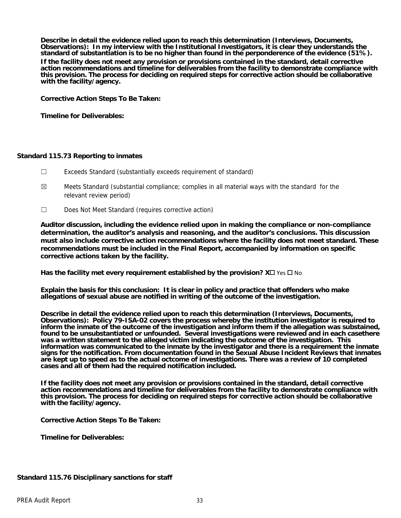**Describe in detail the evidence relied upon to reach this determination (Interviews, Documents, Observations): In my interview with the Institutional Investigators, it is clear they understands the standard of substantiation is to be no higher than found in the perponderence of the evidence (51%).** 

**If the facility does not meet any provision or provisions contained in the standard, detail corrective action recommendations and timeline for deliverables from the facility to demonstrate compliance with this provision. The process for deciding on required steps for corrective action should be collaborative with the facility/agency.** 

**Corrective Action Steps To Be Taken:** 

**Timeline for Deliverables:** 

#### **Standard 115.73 Reporting to inmates**

- ☐ Exceeds Standard (substantially exceeds requirement of standard)
- $\boxtimes$  Meets Standard (substantial compliance; complies in all material ways with the standard for the relevant review period)
- ☐ Does Not Meet Standard (requires corrective action)

**Auditor discussion, including the evidence relied upon in making the compliance or non-compliance determination, the auditor's analysis and reasoning, and the auditor's conclusions. This discussion must also include corrective action recommendations where the facility does not meet standard. These recommendations must be included in the Final Report, accompanied by information on specific corrective actions taken by the facility.**

**Has the facility met every requirement established by the provision?**  $X \square \text{ Yes } \square$  **No** 

**Explain the basis for this conclusion: It is clear in policy and practice that offenders who make allegations of sexual abuse are notified in writing of the outcome of the investigation.** 

**Describe in detail the evidence relied upon to reach this determination (Interviews, Documents, Observations): Policy 79-ISA-02 covers the process whereby the institution investigator is required to inform the inmate of the outcome of the investigation and inform them if the allegation was substained,**  found to be unsubstantiated or unfounded. Several investigations were reviewed and in each casethere **was a written statement to the alleged victim indicating the outcome of the investigation. This information was communicated to the inmate by the investigator and there is a requirement the inmate signs for the notification. From documentation found in the Sexual Abuse Incident Reviews that inmates are kept up to speed as to the actual octcome of investigations. There was a review of 10 completed cases and all of them had the required notification included.** 

**If the facility does not meet any provision or provisions contained in the standard, detail corrective action recommendations and timeline for deliverables from the facility to demonstrate compliance with this provision. The process for deciding on required steps for corrective action should be collaborative with the facility/agency.** 

**Corrective Action Steps To Be Taken:** 

**Timeline for Deliverables:** 

## **Standard 115.76 Disciplinary sanctions for staff**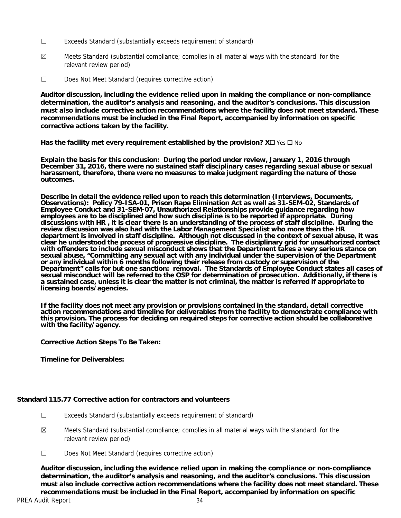- ☐ Exceeds Standard (substantially exceeds requirement of standard)
- $\boxtimes$  Meets Standard (substantial compliance; complies in all material ways with the standard for the relevant review period)
- ☐ Does Not Meet Standard (requires corrective action)

**Auditor discussion, including the evidence relied upon in making the compliance or non-compliance determination, the auditor's analysis and reasoning, and the auditor's conclusions. This discussion must also include corrective action recommendations where the facility does not meet standard. These recommendations must be included in the Final Report, accompanied by information on specific corrective actions taken by the facility.**

**Has the facility met every requirement established by the provision?**  $X \square YeS \square No$ 

**Explain the basis for this conclusion: During the period under review, January 1, 2016 through December 31, 2016, there were no sustained staff disciplinary cases regarding sexual abuse or sexual harassment, therefore, there were no measures to make judgment regarding the nature of those outcomes.** 

**Describe in detail the evidence relied upon to reach this determination (Interviews, Documents, Observations): Policy 79-ISA-01, Prison Rape Elimination Act as well as 31-SEM-02, Standards of Employee Conduct and 31-SEM-07, Unauthorized Relationships provide guidance regarding how employees are to be disciplined and how such discipline is to be reported if appropriate. During discussions with HR , it is clear there is an understanding of the process of staff discipline. During the review discussion was also had with the Labor Management Specialist who more than the HR department is involved in staff discipline. Although not discussed in the context of sexual abuse, it was clear he understood the process of progressive discipline. The disciplinary grid for unauthorized contact with offenders to include sexual misconduct shows that the Department takes a very serious stance on sexual abuse, "Committing any sexual act with any individual under the supervision of the Department or any individual within 6 months following their release from custody or supervision of the Department" calls for but one sanction: removal. The Standards of Employee Conduct states all cases of sexual misconduct will be referred to the OSP for determination of prosecution. Additionally, if there is a sustained case, unless it is clear the matter is not criminal, the matter is referred if appropriate to licensing boards/agencies.** 

**If the facility does not meet any provision or provisions contained in the standard, detail corrective action recommendations and timeline for deliverables from the facility to demonstrate compliance with this provision. The process for deciding on required steps for corrective action should be collaborative with the facility/agency.** 

**Corrective Action Steps To Be Taken:** 

**Timeline for Deliverables:** 

## **Standard 115.77 Corrective action for contractors and volunteers**

- ☐ Exceeds Standard (substantially exceeds requirement of standard)
- $\boxtimes$  Meets Standard (substantial compliance; complies in all material ways with the standard for the relevant review period)
- ☐ Does Not Meet Standard (requires corrective action)

**Auditor discussion, including the evidence relied upon in making the compliance or non-compliance determination, the auditor's analysis and reasoning, and the auditor's conclusions. This discussion must also include corrective action recommendations where the facility does not meet standard. These recommendations must be included in the Final Report, accompanied by information on specific**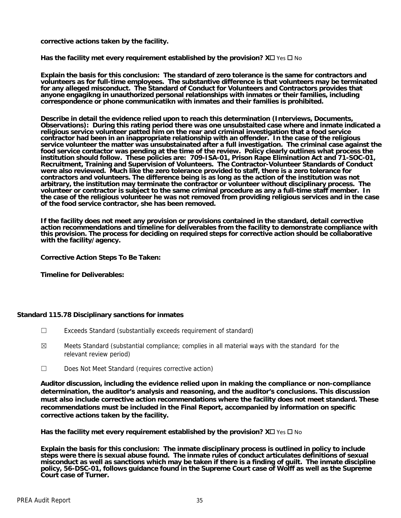**corrective actions taken by the facility.**

**Has the facility met every requirement established by the provision?**  $X \square \text{ Yes } \square$  **No** 

**Explain the basis for this conclusion: The standard of zero tolerance is the same for contractors and volunteers as for full-time employees. The substantive difference is that volunteers may be terminated for any alleged misconduct. The Standard of Conduct for Volunteers and Contractors provides that anyone engagikng in unauthorized personal relationships with inmates or their families, including correspondence or phone communicatikn with inmates and their families is prohibited.** 

**Describe in detail the evidence relied upon to reach this determination (Interviews, Documents, Observations): During this rating period there was one unsubstaited case where and inmate indicated a religious service volunteer patted him on the rear and criminal investigation that a food service contractor had been in an inappropriate relationship with an offender. In the case of the religious service volunteer the matter was unsubstainated after a full investigation. The criminal case against the food service contactor was pending at the time of the review. Policy clearly outlines what process the institution should follow. These policies are: 709-ISA-01, Prison Rape Elimination Act and 71-SOC-01, Recruitment, Training and Supervision of Volunteers. The Contractor-Volunteer Standards of Conduct were also reviewed. Much like the zero tolerance provided to staff, there is a zero tolerance for contractors and volunteers. The difference being is as long as the action of the institution was not arbitrary, the institution may terminate the contractor or volunteer without disciplinary process. The volunteer or contractor is subject to the same criminal procedure as any a full-time staff member. In the case of the religious volunteer he was not removed from providing religious services and in the case of the food service contractor, she has been removed.** 

**If the facility does not meet any provision or provisions contained in the standard, detail corrective action recommendations and timeline for deliverables from the facility to demonstrate compliance with this provision. The process for deciding on required steps for corrective action should be collaborative with the facility/agency.** 

**Corrective Action Steps To Be Taken:** 

**Timeline for Deliverables:** 

## **Standard 115.78 Disciplinary sanctions for inmates**

- ☐ Exceeds Standard (substantially exceeds requirement of standard)
- $\boxtimes$  Meets Standard (substantial compliance; complies in all material ways with the standard for the relevant review period)
- ☐ Does Not Meet Standard (requires corrective action)

**Auditor discussion, including the evidence relied upon in making the compliance or non-compliance determination, the auditor's analysis and reasoning, and the auditor's conclusions. This discussion must also include corrective action recommendations where the facility does not meet standard. These recommendations must be included in the Final Report, accompanied by information on specific corrective actions taken by the facility.**

Has the facility met every requirement established by the provision?  $X\square$  Yes  $\square$  No

**Explain the basis for this conclusion: The inmate disciplinary process is outlined in policy to include steps were there is sexual abuse found. The inmate rules of conduct articulates definitions of sexual misconduct as well as sanctions which may be taken if there is a finding of guilt. The inmate discipline policy, 56-DSC-01, follows guidance found in the Supreme Court case of Wolff as well as the Supreme Court case of Turner.**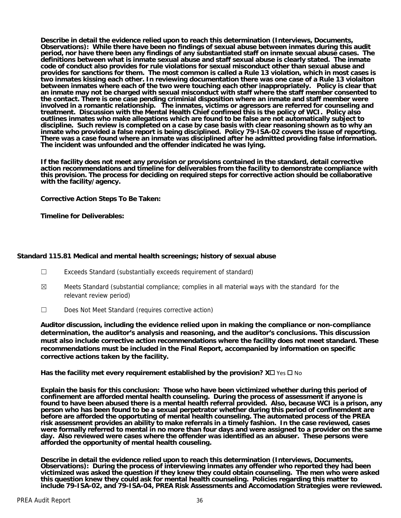**Describe in detail the evidence relied upon to reach this determination (Interviews, Documents, Observations): While there have been no findings of sexual abuse between inmates during this audit period, nor have there been any findings of any substantiated staff on inmate sexual abuse cases. The definitions between what is inmate sexual abuse and staff sexual abuse is clearly stated. The inmate code of conduct also provides for rule violations for sexual misconduct other than sexual abuse and provides for sanctions for them. The most common is called a Rule 13 violation, which in most cases is two inmates kissing each other. In reviewing documentation there was one case of a Rule 13 violaiton between inmates where each of the two were touching each other inappropriately. Policy is clear that an inmate may not be charged with sexual misconduct with staff where the staff member consented to the contact. There is one case pending criminial disposition where an inmate and staff member were involved in a romantic relationship. The inmates, victims or agressors are referred for counseling and treatment. Discussion with the Mental Health Chief confimed this is the policy of WCI. Policy also outlines inmates who make allegations which are found to be false are not automatically subject to discipline. Such review is completed on a case by case basis with clear reasoning shown as to why an inmate who provided a false report is being disciplined. Policy 79-ISA-02 covers the issue of reporting. There was a case found where an inmate was disciplined after he admitted providing false information. The incident was unfounded and the offender indicated he was lying.** 

**If the facility does not meet any provision or provisions contained in the standard, detail corrective action recommendations and timeline for deliverables from the facility to demonstrate compliance with this provision. The process for deciding on required steps for corrective action should be collaborative with the facility/agency.** 

**Corrective Action Steps To Be Taken:** 

**Timeline for Deliverables:** 

## **Standard 115.81 Medical and mental health screenings; history of sexual abuse**

- ☐ Exceeds Standard (substantially exceeds requirement of standard)
- $\boxtimes$  Meets Standard (substantial compliance; complies in all material ways with the standard for the relevant review period)
- ☐ Does Not Meet Standard (requires corrective action)

**Auditor discussion, including the evidence relied upon in making the compliance or non-compliance determination, the auditor's analysis and reasoning, and the auditor's conclusions. This discussion must also include corrective action recommendations where the facility does not meet standard. These recommendations must be included in the Final Report, accompanied by information on specific corrective actions taken by the facility.**

**Has the facility met every requirement established by the provision?**  $X \Box Y$  **is**  $\Box N$ **o** 

**Explain the basis for this conclusion: Those who have been victimized whether during this period of confinement are afforded mental health counseling. During the process of assessment if anyone is found to have been abused there is a mental health referral provided. Also, because WCI is a prison, any person who has been found to be a sexual perpetrator whether during this period of confinemdent are before are afforded the opportuting of mental health counseling. The automated process of the PREA risk assessment provides an ability to make referrals in a timely fashion. In the case reviewed, cases were formally referred to mental in no more than four days and were assigned to a provider on the same day. Also reviewed were cases where the offender was identified as an abuser. These persons were afforded the opportunity of mental health couseling.** 

**Describe in detail the evidence relied upon to reach this determination (Interviews, Documents, Observations): During the process of interviewing inmates any offender who reported they had been victimized was asked the question if they knew they could obtain counseling. The men who were asked this question knew they could ask for mental health counseling. Policies regarding this matter to include 79-ISA-02, and 79-ISA-04, PREA Risk Assessments and Accomodation Strategies were reviewed.**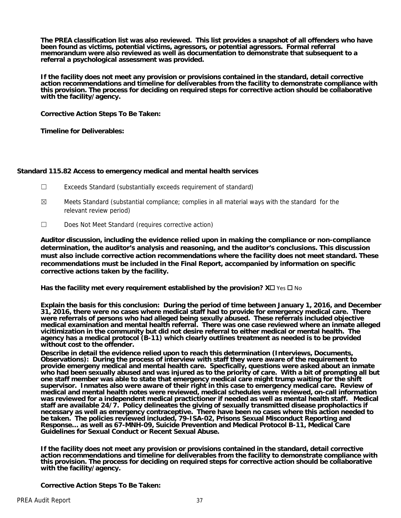**The PREA classification list was also reviewed. This list provides a snapshot of all offenders who have been found as victims, potential victims, agressors, or potential agressors. Formal referral memorandum were also reviewed as well as documentation to demonstrate that subsequent to a referral a psychological assessment was provided.** 

**If the facility does not meet any provision or provisions contained in the standard, detail corrective action recommendations and timeline for deliverables from the facility to demonstrate compliance with this provision. The process for deciding on required steps for corrective action should be collaborative with the facility/agency.** 

**Corrective Action Steps To Be Taken:** 

**Timeline for Deliverables:** 

## **Standard 115.82 Access to emergency medical and mental health services**

- ☐ Exceeds Standard (substantially exceeds requirement of standard)
- $\boxtimes$  Meets Standard (substantial compliance; complies in all material ways with the standard for the relevant review period)
- ☐ Does Not Meet Standard (requires corrective action)

**Auditor discussion, including the evidence relied upon in making the compliance or non-compliance determination, the auditor's analysis and reasoning, and the auditor's conclusions. This discussion must also include corrective action recommendations where the facility does not meet standard. These recommendations must be included in the Final Report, accompanied by information on specific corrective actions taken by the facility.**

Has the facility met every requirement established by the provision?  $X\square$  Yes  $\square$  No

**Explain the basis for this conclusion: During the period of time between January 1, 2016, and December 31, 2016, there were no cases where medical staff had to provide for emergency medical care. There were referrals of persons who had alleged being sexully abused. These referrals included objective medical examination and mental health referral. There was one case reviewed where an inmate alleged vicitimization in the community but did not desire referral to either medical or mental health. The agency has a medical protocol (B-11) which clearly outlines treatment as needed is to be provided without cost to the offender.** 

**Describe in detail the evidence relied upon to reach this determination (Interviews, Documents, Observations): During the process of interview with staff they were aware of the requirement to provide emergeny medical and mental health care. Specfically, questions were asked about an inmate who had been sexually abused and was injured as to the priority of care. With a bit of prompting all but one staff member was able to state that emergency medical care might trump waiting for the shift supervisor. Inmates also were aware of their right in this case to emergency medical care. Review of medical and mental health notes were reviewed, medical schedules were reviewed, on-call information was reviewed for a independent medical practictioner if needed as well as mental health staff. Medical staff are available 24/7. Policy delineates the giving of sexually transmitted disease propholactics if necessary as well as emergency contraceptive. There have been no cases where this action needed to be taken. The policies reviewed included, 79-ISA-02, Prisons Sexual Misconduct Reporting and Response… as well as 67-MNH-09, Suicide Prevention and Medical Protocol B-11, Medical Care Guidelines for Sexual Conduct or Recent Sexual Abuse.** 

**If the facility does not meet any provision or provisions contained in the standard, detail corrective action recommendations and timeline for deliverables from the facility to demonstrate compliance with this provision. The process for deciding on required steps for corrective action should be collaborative with the facility/agency.** 

**Corrective Action Steps To Be Taken:**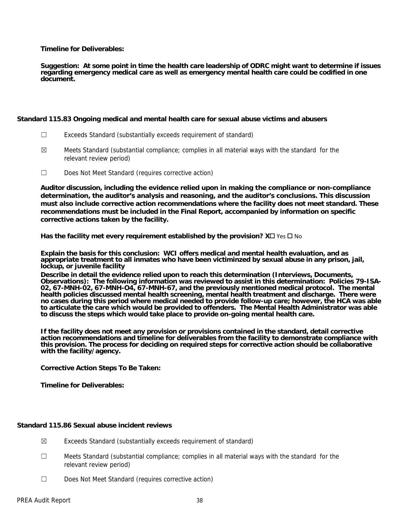**Timeline for Deliverables:** 

**Suggestion: At some point in time the health care leadership of ODRC might want to determine if issues regarding emergency medical care as well as emergency mental health care could be codified in one document.** 

#### **Standard 115.83 Ongoing medical and mental health care for sexual abuse victims and abusers**

- ☐ Exceeds Standard (substantially exceeds requirement of standard)
- $\boxtimes$  Meets Standard (substantial compliance; complies in all material ways with the standard for the relevant review period)
- ☐ Does Not Meet Standard (requires corrective action)

**Auditor discussion, including the evidence relied upon in making the compliance or non-compliance determination, the auditor's analysis and reasoning, and the auditor's conclusions. This discussion must also include corrective action recommendations where the facility does not meet standard. These recommendations must be included in the Final Report, accompanied by information on specific corrective actions taken by the facility.**

**Has the facility met every requirement established by the provision?**  $X \Box Y$  **is**  $\Box N$ **o** 

**Explain the basis for this conclusion: WCI offers medical and mental health evaluation, and as appropriate treatment to all inmates who have been victiminzed by sexual abuse in any prison, jail, lockup, or juvenile facility** 

**Describe in detail the evidence relied upon to reach this determination (Interviews, Documents, Observations): The following information was reviewed to assist in this determination: Policies 79-ISA-02, 67-MNH-02, 67-MNH-O4, 67-MNH-67, and the previously mentioned medical protocol. The mental health policies discussed mental health screening, mental health treatment and discharge. There were no cases during this period where medical needed to provide follow-up care; however, the HCA was able to articulate the care which would be provided to offenders. The Mental Health Administrator was able to discuss the steps which would take place to provide on-going mental health care.** 

**If the facility does not meet any provision or provisions contained in the standard, detail corrective action recommendations and timeline for deliverables from the facility to demonstrate compliance with this provision. The process for deciding on required steps for corrective action should be collaborative with the facility/agency.** 

**Corrective Action Steps To Be Taken:** 

**Timeline for Deliverables:** 

## **Standard 115.86 Sexual abuse incident reviews**

- $\boxtimes$  Exceeds Standard (substantially exceeds requirement of standard)
- ☐ Meets Standard (substantial compliance; complies in all material ways with the standard for the relevant review period)
- ☐ Does Not Meet Standard (requires corrective action)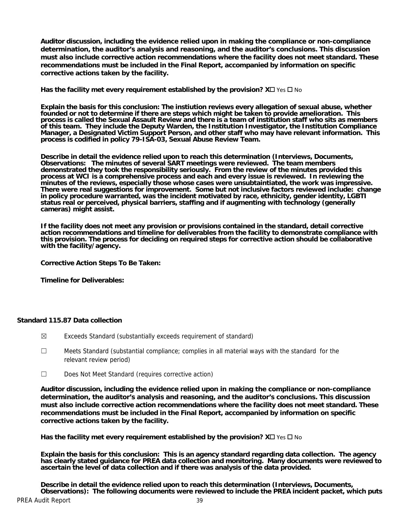**Auditor discussion, including the evidence relied upon in making the compliance or non-compliance determination, the auditor's analysis and reasoning, and the auditor's conclusions. This discussion must also include corrective action recommendations where the facility does not meet standard. These recommendations must be included in the Final Report, accompanied by information on specific corrective actions taken by the facility.**

**Has the facility met every requirement established by the provision?**  $X \square YeS \square No$ 

**Explain the basis for this conclusion: The instiution reviews every allegation of sexual abuse, whether founded or not to determine if there are steps which might be taken to provide amelioration. This process is called the Sexual Assault Review and there is a team of institution staff who sits as members of this team. They include the Deputy Warden, the Institution Investigator, the Institution Compliance Manager, a Designated Victim Support Person, and other staff who may have relevant information. This process is codified in policy 79-ISA-03, Sexual Abuse Review Team.** 

**Describe in detail the evidence relied upon to reach this determination (Interviews, Documents, Observations: The minutes of several SART meetings were reviewed. The team members demonstrated they took the responsibility seriously. From the review of the minutes provided this process at WCI is a comprehensive process and each and every issue is reviewed. In reviewing the minutes of the reviews, especially those whose cases were unsubtaintiated, the work was impressive. There were real suggestions for improvement. Some but not inclusive factors reviewed include: change in policy procedure warranted, was the incident motivated by race, ethnicity, gender identity, LGBTI status real or perceived, physical barriers, staffing and if augmenting with technology (generally cameras) might assist.** 

**If the facility does not meet any provision or provisions contained in the standard, detail corrective action recommendations and timeline for deliverables from the facility to demonstrate compliance with this provision. The process for deciding on required steps for corrective action should be collaborative with the facility/agency.** 

**Corrective Action Steps To Be Taken:** 

**Timeline for Deliverables:** 

## **Standard 115.87 Data collection**

- ☒ Exceeds Standard (substantially exceeds requirement of standard)
- $\Box$  Meets Standard (substantial compliance; complies in all material ways with the standard for the relevant review period)
- ☐ Does Not Meet Standard (requires corrective action)

**Auditor discussion, including the evidence relied upon in making the compliance or non-compliance determination, the auditor's analysis and reasoning, and the auditor's conclusions. This discussion must also include corrective action recommendations where the facility does not meet standard. These recommendations must be included in the Final Report, accompanied by information on specific corrective actions taken by the facility.**

**Has the facility met every requirement established by the provision?**  $X \square \text{ Yes } \square$  **No** 

**Explain the basis for this conclusion: This is an agency standard regarding data collection. The agency has clearly stated guidance for PREA data collection and monitoring. Many documents were reviewed to ascertain the level of data collection and if there was analysis of the data provided.** 

**Describe in detail the evidence relied upon to reach this determination (Interviews, Documents, Observations): The following documents were reviewed to include the PREA incident packet, which puts**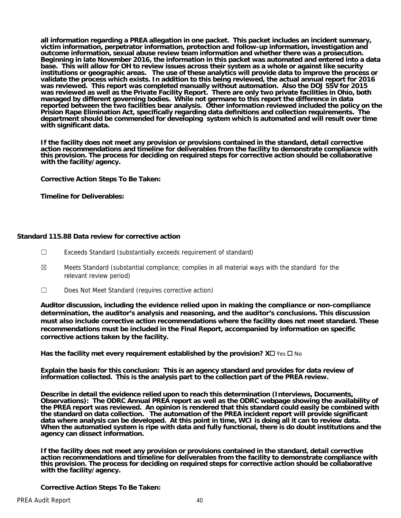**all information regarding a PREA allegation in one packet. This packet includes an incident summary, victim information, perpetrator information, protection and follow-up information, investigation and outcome information, sexual abuse review team information and whether there was a prosecution. Beginning in late November 2016, the information in this packet was automated and entered into a data base. This will allow for OH to review issues across their system as a whole or against like security institutions or geographic areas. The use of these analytics will provide data to improve the process or validate the process which exists. In addition to this being reviewed, the actual annual report for 2016 was reviewed. This report was completed manually without automation. Also the DOJ SSV for 2015 was reviewed as well as the Private Facility Report. There are only two private facilities in Ohio, both managed by different governing bodies. While not germane to this report the difference in data reported between the two facilities bear analysis. Other information reviewed included the policy on the Prision Rape Elimination Act, specifically regarding data definitions and collection requirements. The department should be commended for developing system which is automated and will result over time with significant data.** 

**If the facility does not meet any provision or provisions contained in the standard, detail corrective action recommendations and timeline for deliverables from the facility to demonstrate compliance with this provision. The process for deciding on required steps for corrective action should be collaborative with the facility/agency.** 

**Corrective Action Steps To Be Taken:** 

**Timeline for Deliverables:** 

## **Standard 115.88 Data review for corrective action**

- ☐ Exceeds Standard (substantially exceeds requirement of standard)
- $\boxtimes$  Meets Standard (substantial compliance; complies in all material ways with the standard for the relevant review period)
- ☐ Does Not Meet Standard (requires corrective action)

**Auditor discussion, including the evidence relied upon in making the compliance or non-compliance determination, the auditor's analysis and reasoning, and the auditor's conclusions. This discussion must also include corrective action recommendations where the facility does not meet standard. These recommendations must be included in the Final Report, accompanied by information on specific corrective actions taken by the facility.**

**Has the facility met every requirement established by the provision?**  $X \Box Y$  **is**  $\Box N$ **o** 

**Explain the basis for this conclusion: This is an agency standard and provides for data review of information collected. This is the analysis part to the collection part of the PREA review.** 

**Describe in detail the evidence relied upon to reach this determination (Interviews, Documents, Observations): The ODRC Annual PREA report as well as the ODRC webpage showing the availability of the PREA report was reviewed. An opinion is rendered that this standard could easily be combined with the standard on data collection. The automation of the PREA incident report will provide significant data where analysis can be developed. At this point in time, WCI is doing all it can to review data. When the automatied system is ripe with data and fully functional, there is do doubt institutions and the agency can dissect information.** 

**If the facility does not meet any provision or provisions contained in the standard, detail corrective action recommendations and timeline for deliverables from the facility to demonstrate compliance with this provision. The process for deciding on required steps for corrective action should be collaborative with the facility/agency.** 

**Corrective Action Steps To Be Taken:**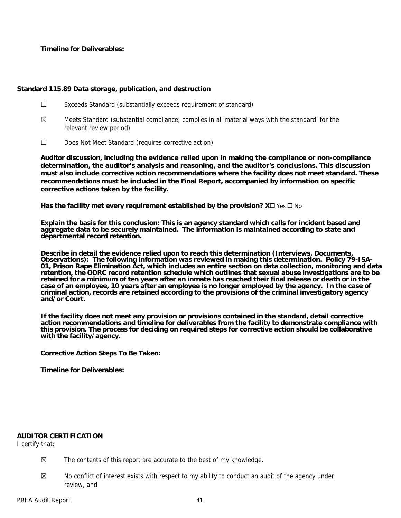**Timeline for Deliverables:** 

## **Standard 115.89 Data storage, publication, and destruction**

- ☐ Exceeds Standard (substantially exceeds requirement of standard)
- $\boxtimes$  Meets Standard (substantial compliance; complies in all material ways with the standard for the relevant review period)
- ☐ Does Not Meet Standard (requires corrective action)

**Auditor discussion, including the evidence relied upon in making the compliance or non-compliance determination, the auditor's analysis and reasoning, and the auditor's conclusions. This discussion must also include corrective action recommendations where the facility does not meet standard. These recommendations must be included in the Final Report, accompanied by information on specific corrective actions taken by the facility.**

**Has the facility met every requirement established by the provision?**  $X \square \text{ Yes } \square$  **No** 

**Explain the basis for this conclusion: This is an agency standard which calls for incident based and aggregate data to be securely maintained. The information is maintained according to state and departmental record retention.** 

**Describe in detail the evidence relied upon to reach this determination (Interviews, Documents, Observations): The following information was reviewed in making this determination. Policy 79-ISA-01, Prison Rape Elimination Act, which includes an entire section on data collection, monitoring and data retention, the ODRC record retention schedule which outlines that sexual abuse investigations are to be retained for a minimum of ten years after an inmate has reached their final release or death or in the case of an employee, 10 years after an employee is no longer employed by the agency. In the case of criminal action, records are retained according to the provisions of the criminal investigatory agency and/or Court.** 

**If the facility does not meet any provision or provisions contained in the standard, detail corrective action recommendations and timeline for deliverables from the facility to demonstrate compliance with this provision. The process for deciding on required steps for corrective action should be collaborative with the facility/agency.** 

**Corrective Action Steps To Be Taken:** 

**Timeline for Deliverables:** 

## **AUDITOR CERTIFICATION**

I certify that:

- $\boxtimes$  The contents of this report are accurate to the best of my knowledge.
- $\boxtimes$  No conflict of interest exists with respect to my ability to conduct an audit of the agency under review, and